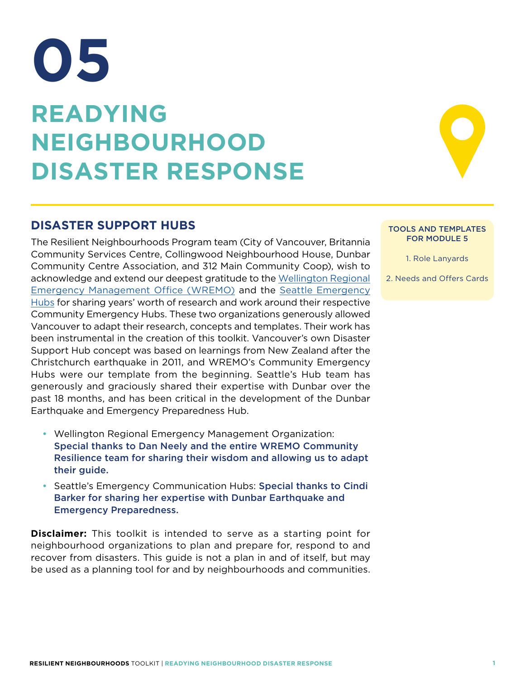# **READYING NEIGHBOURHOOD DISASTER RESPONSE 05**

## **DISASTER SUPPORT HUBS**

The Resilient Neighbourhoods Program team (City of Vancouver, Britannia Community Services Centre, Collingwood Neighbourhood House, Dunbar Community Centre Association, and 312 Main Community Coop), wish to acknowledge and extend our deepest gratitude to the Wellington Regional Emergency Management Office (WREMO) and the Seattle Emergency Hubs for sharing years' worth of research and work around their respective Community Emergency Hubs. These two organizations generously allowed Vancouver to adapt their research, concepts and templates. Their work has been instrumental in the creation of this toolkit. Vancouver's own Disaster Support Hub concept was based on learnings from New Zealand after the Christchurch earthquake in 2011, and WREMO's Community Emergency Hubs were our template from the beginning. Seattle's Hub team has generously and graciously shared their expertise with Dunbar over the past 18 months, and has been critical in the development of the Dunbar Earthquake and Emergency Preparedness Hub.

- Wellington Regional Emergency Management Organization: Special thanks to Dan Neely and the entire WREMO Community Resilience team for sharing their wisdom and allowing us to adapt their guide.
- Seattle's Emergency Communication Hubs: Special thanks to Cindi Barker for sharing her expertise with Dunbar Earthquake and Emergency Preparedness.

**Disclaimer:** This toolkit is intended to serve as a starting point for neighbourhood organizations to plan and prepare for, respond to and recover from disasters. This guide is not a plan in and of itself, but may be used as a planning tool for and by neighbourhoods and communities.

#### TOOLS AND TEMPLATES FOR MODULE 5

1. Role Lanyards

2. Needs and Offers Cards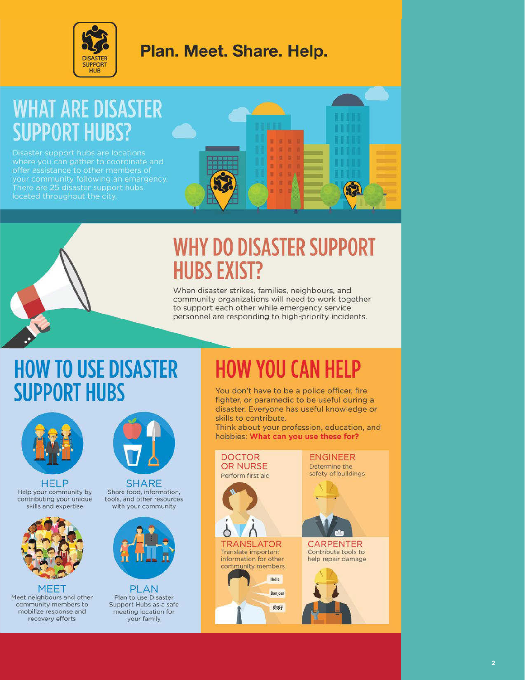

## Plan. Meet. Share. Help.

## **WHAT ARE DISASTER SUPPORT HUBS?**

offer assistance to other members of There are 25 disaster support hubs

## **WHY DO DISASTER SUPPORT HUBS EXIST?**

When disaster strikes, families, neighbours, and community organizations will need to work together to support each other while emergency service personnel are responding to high-priority incidents.

## **HOW TO USE DISASTER SUPPORT HUBS**



HELP Help your community by contributing your unique skills and expertise



**MEET** Meet neighbours and other community members to mobilize response and recovery efforts



**SHARE** Share food, information, tools, and other resources with your community



**PLAN** Plan to use Disaster Support Hubs as a safe meeting location for your family

## **HOW YOU CAN HELP**

You don't have to be a police officer, fire fighter, or paramedic to be useful during a disaster. Everyone has useful knowledge or skills to contribute.

Think about your profession, education, and hobbies: What can you use these for?



**CARPENTER** 

Contribute tools to help repair damage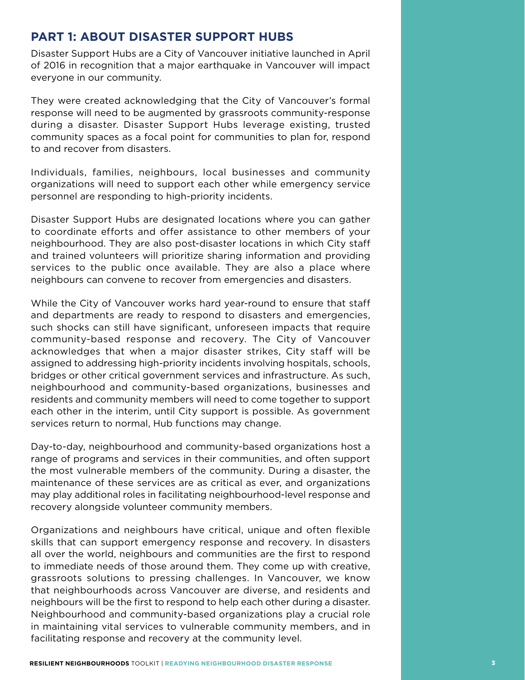## **PART 1: ABOUT DISASTER SUPPORT HUBS**

Disaster Support Hubs are a City of Vancouver initiative launched in April of 2016 in recognition that a major earthquake in Vancouver will impact everyone in our community.

They were created acknowledging that the City of Vancouver's formal response will need to be augmented by grassroots community-response during a disaster. Disaster Support Hubs leverage existing, trusted community spaces as a focal point for communities to plan for, respond to and recover from disasters.

Individuals, families, neighbours, local businesses and community organizations will need to support each other while emergency service personnel are responding to high-priority incidents.

Disaster Support Hubs are designated locations where you can gather to coordinate efforts and offer assistance to other members of your neighbourhood. They are also post-disaster locations in which City staff and trained volunteers will prioritize sharing information and providing services to the public once available. They are also a place where neighbours can convene to recover from emergencies and disasters.

While the City of Vancouver works hard year-round to ensure that staff and departments are ready to respond to disasters and emergencies, such shocks can still have significant, unforeseen impacts that require community-based response and recovery. The City of Vancouver acknowledges that when a major disaster strikes, City staff will be assigned to addressing high-priority incidents involving hospitals, schools, bridges or other critical government services and infrastructure. As such, neighbourhood and community-based organizations, businesses and residents and community members will need to come together to support each other in the interim, until City support is possible. As government services return to normal, Hub functions may change.

Day-to-day, neighbourhood and community-based organizations host a range of programs and services in their communities, and often support the most vulnerable members of the community. During a disaster, the maintenance of these services are as critical as ever, and organizations may play additional roles in facilitating neighbourhood-level response and recovery alongside volunteer community members.

Organizations and neighbours have critical, unique and often flexible skills that can support emergency response and recovery. In disasters all over the world, neighbours and communities are the first to respond to immediate needs of those around them. They come up with creative, grassroots solutions to pressing challenges. In Vancouver, we know that neighbourhoods across Vancouver are diverse, and residents and neighbours will be the first to respond to help each other during a disaster. Neighbourhood and community-based organizations play a crucial role in maintaining vital services to vulnerable community members, and in facilitating response and recovery at the community level.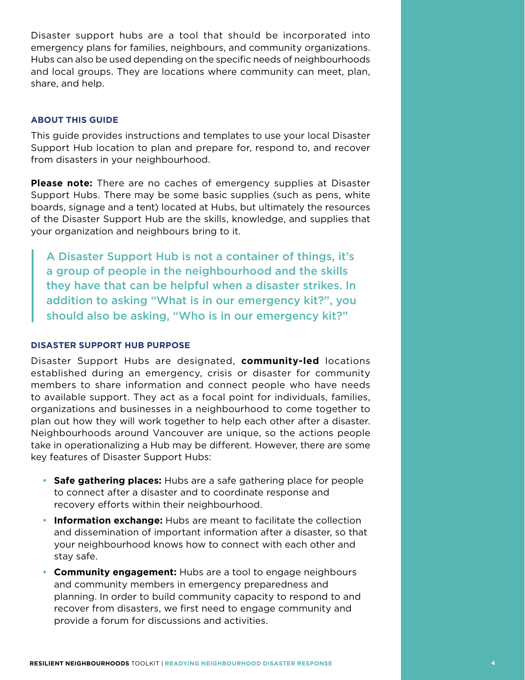Disaster support hubs are a tool that should be incorporated into emergency plans for families, neighbours, and community organizations. Hubs can also be used depending on the specific needs of neighbourhoods and local groups. They are locations where community can meet, plan, share, and help.

#### **ABOUT THIS GUIDE**

This guide provides instructions and templates to use your local Disaster Support Hub location to plan and prepare for, respond to, and recover from disasters in your neighbourhood.

**Please note:** There are no caches of emergency supplies at Disaster Support Hubs. There may be some basic supplies (such as pens, white boards, signage and a tent) located at Hubs, but ultimately the resources of the Disaster Support Hub are the skills, knowledge, and supplies that your organization and neighbours bring to it.

A Disaster Support Hub is not a container of things, it's a group of people in the neighbourhood and the skills they have that can be helpful when a disaster strikes. In addition to asking "What is in our emergency kit?", you should also be asking, "Who is in our emergency kit?"

#### **DISASTER SUPPORT HUB PURPOSE**

Disaster Support Hubs are designated, **community-led** locations established during an emergency, crisis or disaster for community members to share information and connect people who have needs to available support. They act as a focal point for individuals, families, organizations and businesses in a neighbourhood to come together to plan out how they will work together to help each other after a disaster. Neighbourhoods around Vancouver are unique, so the actions people take in operationalizing a Hub may be different. However, there are some key features of Disaster Support Hubs:

- **Safe gathering places:** Hubs are a safe gathering place for people to connect after a disaster and to coordinate response and recovery efforts within their neighbourhood.
- Information exchange: Hubs are meant to facilitate the collection and dissemination of important information after a disaster, so that your neighbourhood knows how to connect with each other and stay safe.
- • **Community engagement:** Hubs are a tool to engage neighbours and community members in emergency preparedness and planning. In order to build community capacity to respond to and recover from disasters, we first need to engage community and provide a forum for discussions and activities.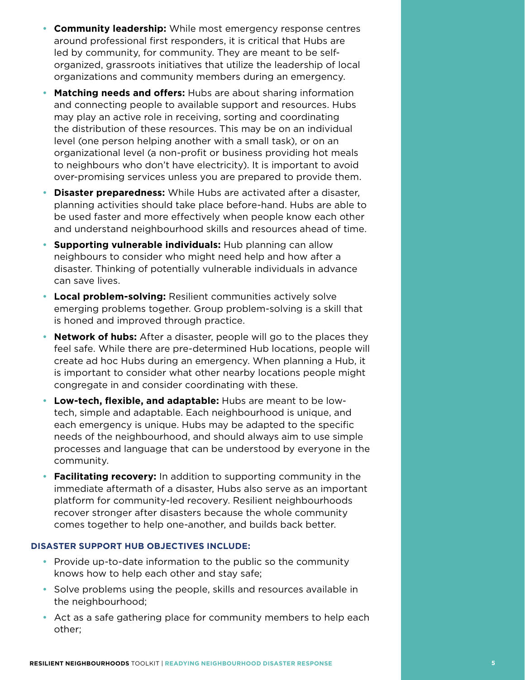- • **Community leadership:** While most emergency response centres around professional first responders, it is critical that Hubs are led by community, for community. They are meant to be selforganized, grassroots initiatives that utilize the leadership of local organizations and community members during an emergency.
- • **Matching needs and offers:** Hubs are about sharing information and connecting people to available support and resources. Hubs may play an active role in receiving, sorting and coordinating the distribution of these resources. This may be on an individual level (one person helping another with a small task), or on an organizational level (a non-profit or business providing hot meals to neighbours who don't have electricity). It is important to avoid over-promising services unless you are prepared to provide them.
- • **Disaster preparedness:** While Hubs are activated after a disaster, planning activities should take place before-hand. Hubs are able to be used faster and more effectively when people know each other and understand neighbourhood skills and resources ahead of time.
- **Supporting vulnerable individuals:** Hub planning can allow neighbours to consider who might need help and how after a disaster. Thinking of potentially vulnerable individuals in advance can save lives.
- Local problem-solving: Resilient communities actively solve emerging problems together. Group problem-solving is a skill that is honed and improved through practice.
- **Network of hubs:** After a disaster, people will go to the places they feel safe. While there are pre-determined Hub locations, people will create ad hoc Hubs during an emergency. When planning a Hub, it is important to consider what other nearby locations people might congregate in and consider coordinating with these.
- • **Low-tech, flexible, and adaptable:** Hubs are meant to be lowtech, simple and adaptable. Each neighbourhood is unique, and each emergency is unique. Hubs may be adapted to the specific needs of the neighbourhood, and should always aim to use simple processes and language that can be understood by everyone in the community.
- **Facilitating recovery:** In addition to supporting community in the immediate aftermath of a disaster, Hubs also serve as an important platform for community-led recovery. Resilient neighbourhoods recover stronger after disasters because the whole community comes together to help one-another, and builds back better.

#### **DISASTER SUPPORT HUB OBJECTIVES INCLUDE:**

- Provide up-to-date information to the public so the community knows how to help each other and stay safe;
- Solve problems using the people, skills and resources available in the neighbourhood;
- Act as a safe gathering place for community members to help each other;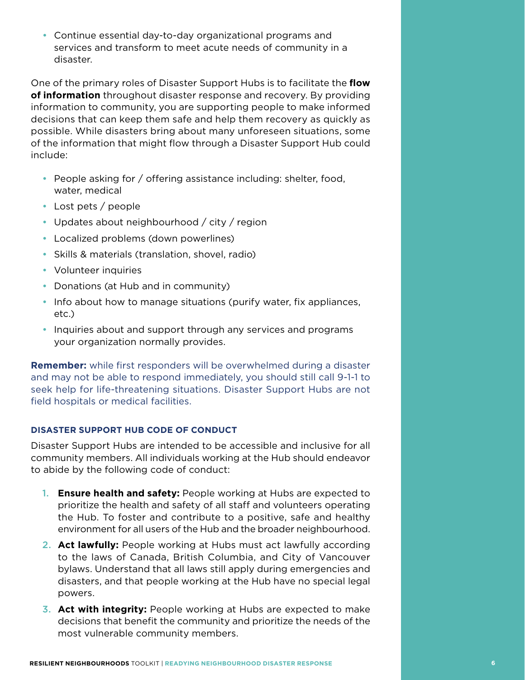• Continue essential day-to-day organizational programs and services and transform to meet acute needs of community in a disaster.

One of the primary roles of Disaster Support Hubs is to facilitate the **flow of information** throughout disaster response and recovery. By providing information to community, you are supporting people to make informed decisions that can keep them safe and help them recovery as quickly as possible. While disasters bring about many unforeseen situations, some of the information that might flow through a Disaster Support Hub could include:

- People asking for / offering assistance including: shelter, food, water, medical
- Lost pets / people
- Updates about neighbourhood  $/$  city  $/$  region
- Localized problems (down powerlines)
- Skills & materials (translation, shovel, radio)
- Volunteer inquiries
- Donations (at Hub and in community)
- Info about how to manage situations (purify water, fix appliances, etc.)
- Inquiries about and support through any services and programs your organization normally provides.

**Remember:** while first responders will be overwhelmed during a disaster and may not be able to respond immediately, you should still call 9-1-1 to seek help for life-threatening situations. Disaster Support Hubs are not field hospitals or medical facilities.

#### **DISASTER SUPPORT HUB CODE OF CONDUCT**

Disaster Support Hubs are intended to be accessible and inclusive for all community members. All individuals working at the Hub should endeavor to abide by the following code of conduct:

- **1. Ensure health and safety:** People working at Hubs are expected to prioritize the health and safety of all staff and volunteers operating the Hub. To foster and contribute to a positive, safe and healthy environment for all users of the Hub and the broader neighbourhood.
- **2. Act lawfully:** People working at Hubs must act lawfully according to the laws of Canada, British Columbia, and City of Vancouver bylaws. Understand that all laws still apply during emergencies and disasters, and that people working at the Hub have no special legal powers.
- 3. **Act with integrity:** People working at Hubs are expected to make decisions that benefit the community and prioritize the needs of the most vulnerable community members.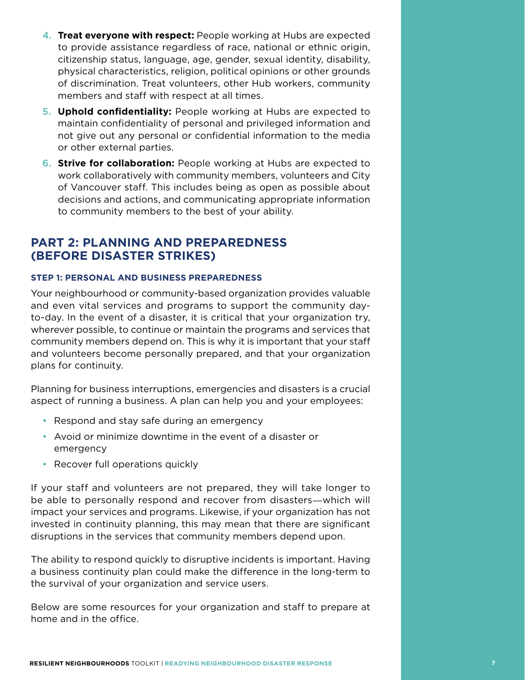- **4. Treat everyone with respect:** People working at Hubs are expected to provide assistance regardless of race, national or ethnic origin, citizenship status, language, age, gender, sexual identity, disability, physical characteristics, religion, political opinions or other grounds of discrimination. Treat volunteers, other Hub workers, community members and staff with respect at all times.
- 5. **Uphold confidentiality:** People working at Hubs are expected to maintain confidentiality of personal and privileged information and not give out any personal or confidential information to the media or other external parties.
- **6. Strive for collaboration:** People working at Hubs are expected to work collaboratively with community members, volunteers and City of Vancouver staff. This includes being as open as possible about decisions and actions, and communicating appropriate information to community members to the best of your ability.

## **PART 2: PLANNING AND PREPAREDNESS (BEFORE DISASTER STRIKES)**

#### **STEP 1: PERSONAL AND BUSINESS PREPAREDNESS**

Your neighbourhood or community-based organization provides valuable and even vital services and programs to support the community dayto-day. In the event of a disaster, it is critical that your organization try, wherever possible, to continue or maintain the programs and services that community members depend on. This is why it is important that your staff and volunteers become personally prepared, and that your organization plans for continuity.

Planning for business interruptions, emergencies and disasters is a crucial aspect of running a business. A plan can help you and your employees:

- Respond and stay safe during an emergency
- Avoid or minimize downtime in the event of a disaster or emergency
- Recover full operations quickly

If your staff and volunteers are not prepared, they will take longer to be able to personally respond and recover from disasters―which will impact your services and programs. Likewise, if your organization has not invested in continuity planning, this may mean that there are significant disruptions in the services that community members depend upon.

The ability to respond quickly to disruptive incidents is important. Having a business continuity plan could make the difference in the long-term to the survival of your organization and service users.

Below are some resources for your organization and staff to prepare at home and in the office.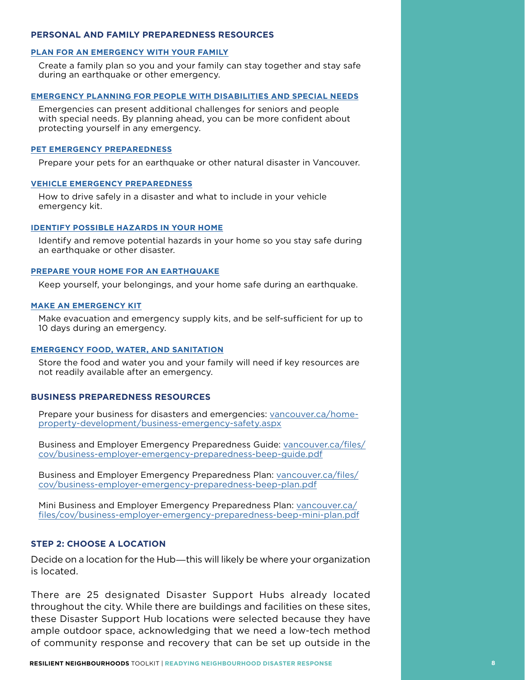#### **PERSONAL AND FAMILY PREPAREDNESS RESOURCES**

#### **PLAN FOR AN EMERGENCY WITH YOUR FAMILY**

Create a family plan so you and your family can stay together and stay safe during an earthquake or other emergency.

#### **EMERGENCY PLANNING FOR PEOPLE WITH DISABILITIES AND SPECIAL NEEDS**

Emergencies can present additional challenges for seniors and people with special needs. By planning ahead, you can be more confident about protecting yourself in any emergency.

#### **PET EMERGENCY PREPAREDNESS**

Prepare your pets for an earthquake or other natural disaster in Vancouver.

#### **VEHICLE EMERGENCY PREPAREDNESS**

How to drive safely in a disaster and what to include in your vehicle emergency kit.

#### **IDENTIFY POSSIBLE HAZARDS IN YOUR HOME**

Identify and remove potential hazards in your home so you stay safe during an earthquake or other disaster.

#### **PREPARE YOUR HOME FOR AN EARTHQUAKE**

Keep yourself, your belongings, and your home safe during an earthquake.

#### **MAKE AN EMERGENCY KIT**

Make evacuation and emergency supply kits, and be self-sufficient for up to 10 days during an emergency.

#### **EMERGENCY FOOD, WATER, AND SANITATION**

Store the food and water you and your family will need if key resources are not readily available after an emergency.

#### **BUSINESS PREPAREDNESS RESOURCES**

Prepare your business for disasters and emergencies: vancouver.ca/homeproperty-development/business-emergency-safety.aspx

Business and Employer Emergency Preparedness Guide: vancouver.ca/files/ cov/business-employer-emergency-preparedness-beep-guide.pdf

Business and Employer Emergency Preparedness Plan: vancouver.ca/files/ cov/business-employer-emergency-preparedness-beep-plan.pdf

Mini Business and Employer Emergency Preparedness Plan: vancouver.ca/ files/cov/business-employer-emergency-preparedness-beep-mini-plan.pdf

#### **STEP 2: CHOOSE A LOCATION**

Decide on a location for the Hub—this will likely be where your organization is located.

There are 25 designated Disaster Support Hubs already located throughout the city. While there are buildings and facilities on these sites, these Disaster Support Hub locations were selected because they have ample outdoor space, acknowledging that we need a low-tech method of community response and recovery that can be set up outside in the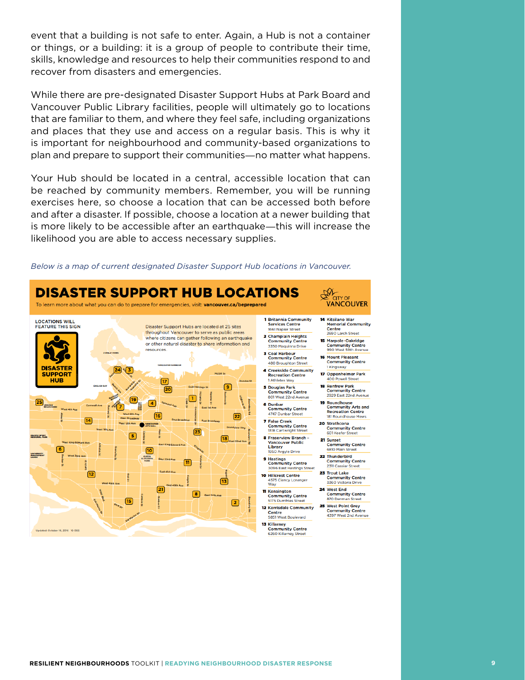event that a building is not safe to enter. Again, a Hub is not a container or things, or a building: it is a group of people to contribute their time, skills, knowledge and resources to help their communities respond to and recover from disasters and emergencies.

While there are pre-designated Disaster Support Hubs at Park Board and Vancouver Public Library facilities, people will ultimately go to locations that are familiar to them, and where they feel safe, including organizations and places that they use and access on a regular basis. This is why it is important for neighbourhood and community-based organizations to plan and prepare to support their communities―no matter what happens.

Your Hub should be located in a central, accessible location that can be reached by community members. Remember, you will be running exercises here, so choose a location that can be accessed both before and after a disaster. If possible, choose a location at a newer building that is more likely to be accessible after an earthquake―this will increase the likelihood you are able to access necessary supplies.



*Below is a map of current designated Disaster Support Hub locations in Vancouver.*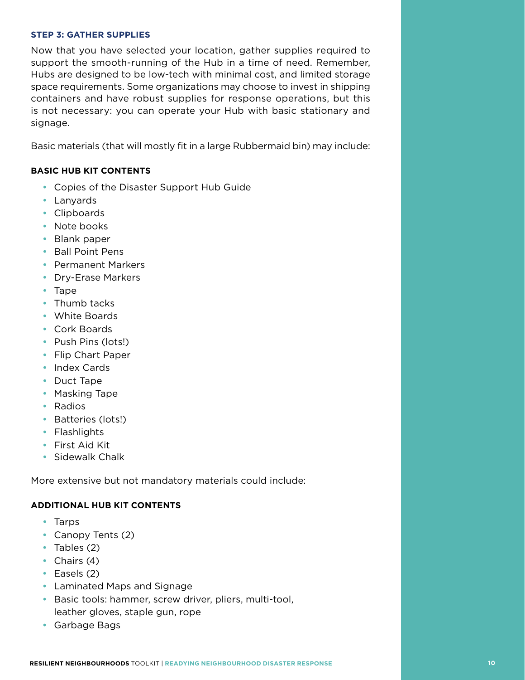#### **STEP 3: GATHER SUPPLIES**

Now that you have selected your location, gather supplies required to support the smooth-running of the Hub in a time of need. Remember, Hubs are designed to be low-tech with minimal cost, and limited storage space requirements. Some organizations may choose to invest in shipping containers and have robust supplies for response operations, but this is not necessary: you can operate your Hub with basic stationary and signage.

Basic materials (that will mostly fit in a large Rubbermaid bin) may include:

#### **BASIC HUB KIT CONTENTS**

- Copies of the Disaster Support Hub Guide
- • Lanyards
- • Clipboards
- Note books
- • Blank paper
- • Ball Point Pens
- • Permanent Markers
- Dry-Erase Markers
- Tape
- Thumb tacks
- • White Boards
- • Cork Boards
- • Push Pins (lots!)
- • Flip Chart Paper
- Index Cards
- Duct Tape
- Masking Tape
- • Radios
- Batteries (lots!)
- Flashlights
- • First Aid Kit
- • Sidewalk Chalk

More extensive but not mandatory materials could include:

#### **ADDITIONAL HUB KIT CONTENTS**

- • Tarps
- Canopy Tents (2)
- Tables (2)
- Chairs (4)
- Easels (2)
- Laminated Maps and Signage
- Basic tools: hammer, screw driver, pliers, multi-tool, leather gloves, staple gun, rope
- • Garbage Bags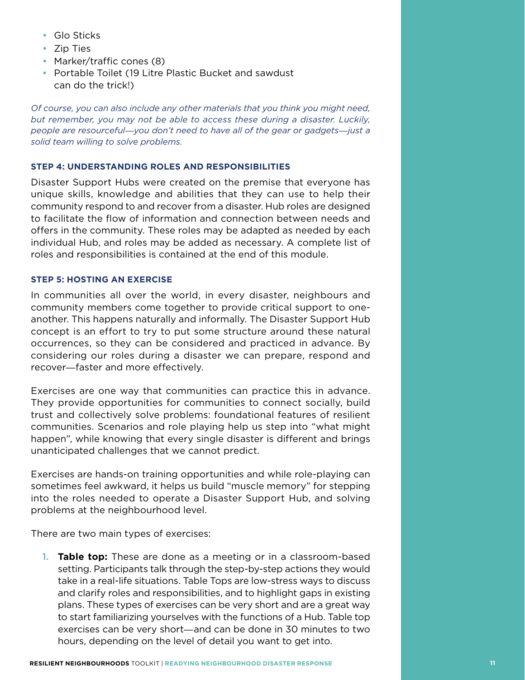- Glo Sticks
- Zip Ties
- Marker/traffic cones (8)
- Portable Toilet (19 Litre Plastic Bucket and sawdust can do the trick!)

*Of course, you can also include any other materials that you think you might need, but remember, you may not be able to access these during a disaster. Luckily, people are resourceful*―*you don't need to have all of the gear or gadgets*―*just a solid team willing to solve problems.*

#### **STEP 4: UNDERSTANDING ROLES AND RESPONSIBILITIES**

Disaster Support Hubs were created on the premise that everyone has unique skills, knowledge and abilities that they can use to help their community respond to and recover from a disaster. Hub roles are designed to facilitate the flow of information and connection between needs and offers in the community. These roles may be adapted as needed by each individual Hub, and roles may be added as necessary. A complete list of roles and responsibilities is contained at the end of this module.

#### **STEP 5: HOSTING AN EXERCISE**

In communities all over the world, in every disaster, neighbours and community members come together to provide critical support to oneanother. This happens naturally and informally. The Disaster Support Hub concept is an effort to try to put some structure around these natural occurrences, so they can be considered and practiced in advance. By considering our roles during a disaster we can prepare, respond and recover―faster and more effectively.

Exercises are one way that communities can practice this in advance. They provide opportunities for communities to connect socially, build trust and collectively solve problems: foundational features of resilient communities. Scenarios and role playing help us step into "what might happen", while knowing that every single disaster is different and brings unanticipated challenges that we cannot predict.

Exercises are hands-on training opportunities and while role-playing can sometimes feel awkward, it helps us build "muscle memory" for stepping into the roles needed to operate a Disaster Support Hub, and solving problems at the neighbourhood level.

There are two main types of exercises:

1. **Table top:** These are done as a meeting or in a classroom-based setting. Participants talk through the step-by-step actions they would take in a real-life situations. Table Tops are low-stress ways to discuss and clarify roles and responsibilities, and to highlight gaps in existing plans. These types of exercises can be very short and are a great way to start familiarizing yourselves with the functions of a Hub. Table top exercises can be very short―and can be done in 30 minutes to two hours, depending on the level of detail you want to get into.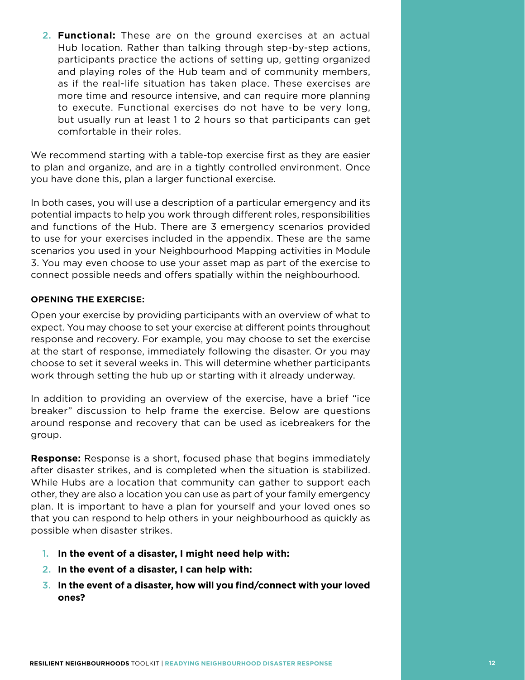2. **Functional:** These are on the ground exercises at an actual Hub location. Rather than talking through step-by-step actions, participants practice the actions of setting up, getting organized and playing roles of the Hub team and of community members, as if the real-life situation has taken place. These exercises are more time and resource intensive, and can require more planning to execute. Functional exercises do not have to be very long, but usually run at least 1 to 2 hours so that participants can get comfortable in their roles.

We recommend starting with a table-top exercise first as they are easier to plan and organize, and are in a tightly controlled environment. Once you have done this, plan a larger functional exercise.

In both cases, you will use a description of a particular emergency and its potential impacts to help you work through different roles, responsibilities and functions of the Hub. There are 3 emergency scenarios provided to use for your exercises included in the appendix. These are the same scenarios you used in your Neighbourhood Mapping activities in Module 3. You may even choose to use your asset map as part of the exercise to connect possible needs and offers spatially within the neighbourhood.

#### **OPENING THE EXERCISE:**

Open your exercise by providing participants with an overview of what to expect. You may choose to set your exercise at different points throughout response and recovery. For example, you may choose to set the exercise at the start of response, immediately following the disaster. Or you may choose to set it several weeks in. This will determine whether participants work through setting the hub up or starting with it already underway.

In addition to providing an overview of the exercise, have a brief "ice breaker" discussion to help frame the exercise. Below are questions around response and recovery that can be used as icebreakers for the group.

**Response:** Response is a short, focused phase that begins immediately after disaster strikes, and is completed when the situation is stabilized. While Hubs are a location that community can gather to support each other, they are also a location you can use as part of your family emergency plan. It is important to have a plan for yourself and your loved ones so that you can respond to help others in your neighbourhood as quickly as possible when disaster strikes.

- 1. **In the event of a disaster, I might need help with:**
- 2. **In the event of a disaster, I can help with:**
- 3. **In the event of a disaster, how will you find/connect with your loved ones?**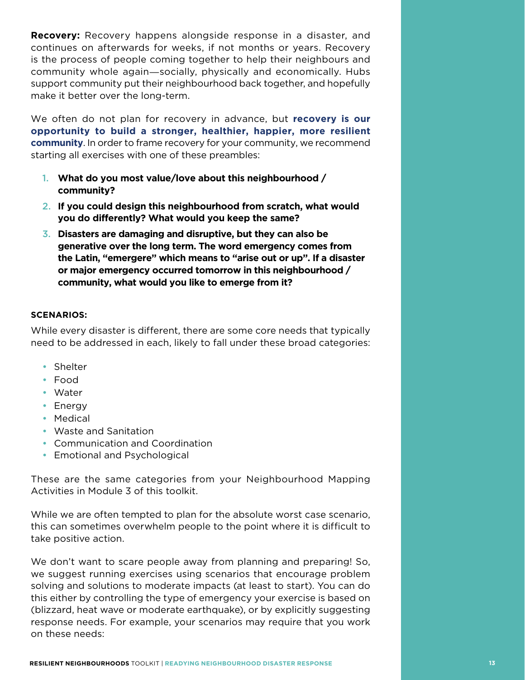**Recovery:** Recovery happens alongside response in a disaster, and continues on afterwards for weeks, if not months or years. Recovery is the process of people coming together to help their neighbours and community whole again―socially, physically and economically. Hubs support community put their neighbourhood back together, and hopefully make it better over the long-term.

We often do not plan for recovery in advance, but **recovery is our opportunity to build a stronger, healthier, happier, more resilient community**. In order to frame recovery for your community, we recommend starting all exercises with one of these preambles:

- 1. **What do you most value/love about this neighbourhood / community?**
- 2. **If you could design this neighbourhood from scratch, what would you do differently? What would you keep the same?**
- 3. **Disasters are damaging and disruptive, but they can also be generative over the long term. The word emergency comes from the Latin, "emergere" which means to "arise out or up". If a disaster or major emergency occurred tomorrow in this neighbourhood / community, what would you like to emerge from it?**

#### **SCENARIOS:**

While every disaster is different, there are some core needs that typically need to be addressed in each, likely to fall under these broad categories:

- Shelter
- • Food
- • Water
- Energy
- Medical
- • Waste and Sanitation
- Communication and Coordination
- Emotional and Psychological

These are the same categories from your Neighbourhood Mapping Activities in Module 3 of this toolkit.

While we are often tempted to plan for the absolute worst case scenario, this can sometimes overwhelm people to the point where it is difficult to take positive action.

We don't want to scare people away from planning and preparing! So, we suggest running exercises using scenarios that encourage problem solving and solutions to moderate impacts (at least to start). You can do this either by controlling the type of emergency your exercise is based on (blizzard, heat wave or moderate earthquake), or by explicitly suggesting response needs. For example, your scenarios may require that you work on these needs: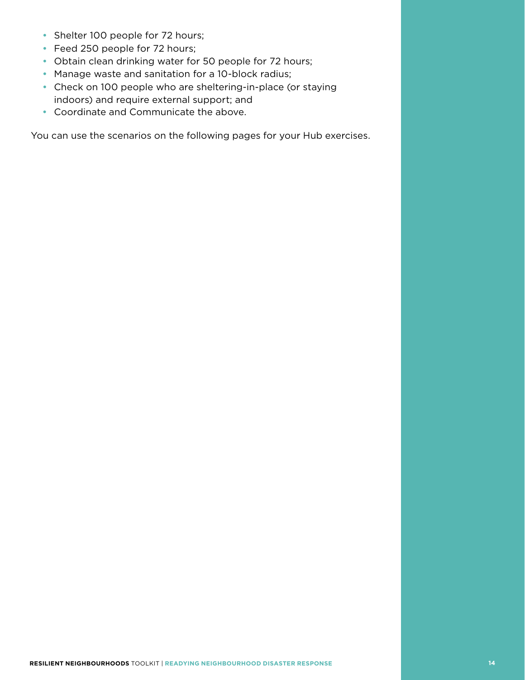- Shelter 100 people for 72 hours;
- Feed 250 people for 72 hours;
- Obtain clean drinking water for 50 people for 72 hours;
- Manage waste and sanitation for a 10-block radius;
- Check on 100 people who are sheltering-in-place (or staying indoors) and require external support; and
- • Coordinate and Communicate the above.

You can use the scenarios on the following pages for your Hub exercises.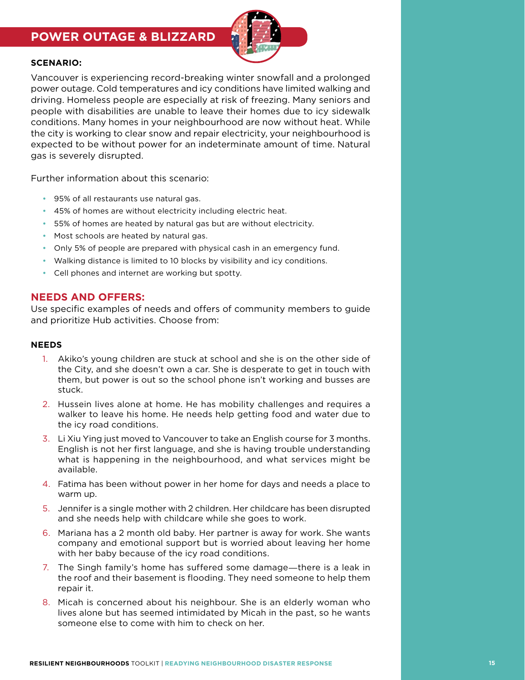## **POWER OUTAGE & BLIZZARD**



#### **SCENARIO:**

Vancouver is experiencing record-breaking winter snowfall and a prolonged power outage. Cold temperatures and icy conditions have limited walking and driving. Homeless people are especially at risk of freezing. Many seniors and people with disabilities are unable to leave their homes due to icy sidewalk conditions. Many homes in your neighbourhood are now without heat. While the city is working to clear snow and repair electricity, your neighbourhood is expected to be without power for an indeterminate amount of time. Natural gas is severely disrupted.

Further information about this scenario:

- 95% of all restaurants use natural gas.
- 45% of homes are without electricity including electric heat.
- 55% of homes are heated by natural gas but are without electricity.
- Most schools are heated by natural gas.
- Only 5% of people are prepared with physical cash in an emergency fund.
- Walking distance is limited to 10 blocks by visibility and icy conditions.
- Cell phones and internet are working but spotty.

#### **NEEDS AND OFFERS:**

Use specific examples of needs and offers of community members to guide and prioritize Hub activities. Choose from:

#### **NEEDS**

- 1. Akiko's young children are stuck at school and she is on the other side of the City, and she doesn't own a car. She is desperate to get in touch with them, but power is out so the school phone isn't working and busses are stuck.
- 2. Hussein lives alone at home. He has mobility challenges and requires a walker to leave his home. He needs help getting food and water due to the icy road conditions.
- 3. Li Xiu Ying just moved to Vancouver to take an English course for 3 months. English is not her first language, and she is having trouble understanding what is happening in the neighbourhood, and what services might be available.
- 4. Fatima has been without power in her home for days and needs a place to warm up.
- 5. Jennifer is a single mother with 2 children. Her childcare has been disrupted and she needs help with childcare while she goes to work.
- 6. Mariana has a 2 month old baby. Her partner is away for work. She wants company and emotional support but is worried about leaving her home with her baby because of the icy road conditions.
- 7. The Singh family's home has suffered some damage―there is a leak in the roof and their basement is flooding. They need someone to help them repair it.
- 8. Micah is concerned about his neighbour. She is an elderly woman who lives alone but has seemed intimidated by Micah in the past, so he wants someone else to come with him to check on her.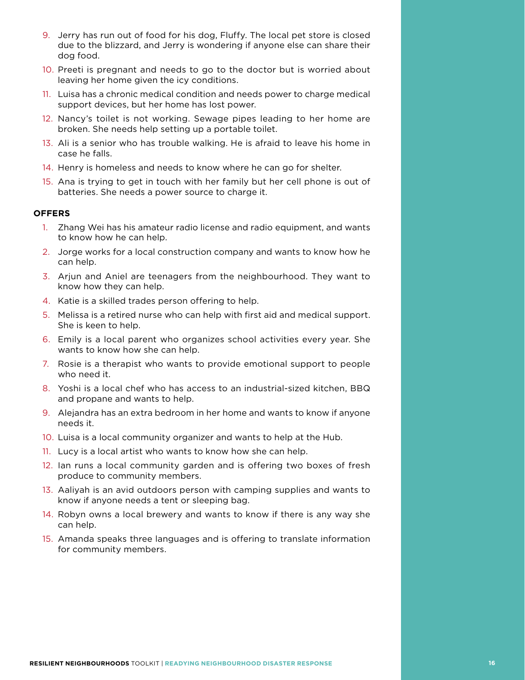- 9. Jerry has run out of food for his dog, Fluffy. The local pet store is closed due to the blizzard, and Jerry is wondering if anyone else can share their dog food.
- 10. Preeti is pregnant and needs to go to the doctor but is worried about leaving her home given the icy conditions.
- 11. Luisa has a chronic medical condition and needs power to charge medical support devices, but her home has lost power.
- 12. Nancy's toilet is not working. Sewage pipes leading to her home are broken. She needs help setting up a portable toilet.
- 13. Ali is a senior who has trouble walking. He is afraid to leave his home in case he falls.
- 14. Henry is homeless and needs to know where he can go for shelter.
- 15. Ana is trying to get in touch with her family but her cell phone is out of batteries. She needs a power source to charge it.

#### **OFFERS**

- 1. Zhang Wei has his amateur radio license and radio equipment, and wants to know how he can help.
- 2. Jorge works for a local construction company and wants to know how he can help.
- 3. Arjun and Aniel are teenagers from the neighbourhood. They want to know how they can help.
- 4. Katie is a skilled trades person offering to help.
- 5. Melissa is a retired nurse who can help with first aid and medical support. She is keen to help.
- 6. Emily is a local parent who organizes school activities every year. She wants to know how she can help.
- 7. Rosie is a therapist who wants to provide emotional support to people who need it.
- 8. Yoshi is a local chef who has access to an industrial-sized kitchen, BBQ and propane and wants to help.
- 9. Alejandra has an extra bedroom in her home and wants to know if anyone needs it.
- 10. Luisa is a local community organizer and wants to help at the Hub.
- 11. Lucy is a local artist who wants to know how she can help.
- 12. Ian runs a local community garden and is offering two boxes of fresh produce to community members.
- 13. Aaliyah is an avid outdoors person with camping supplies and wants to know if anyone needs a tent or sleeping bag.
- 14. Robyn owns a local brewery and wants to know if there is any way she can help.
- 15. Amanda speaks three languages and is offering to translate information for community members.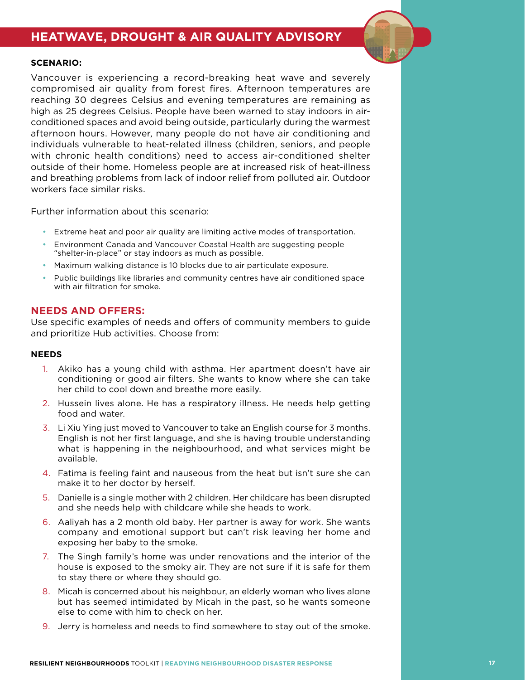## **HEATWAVE, DROUGHT & AIR QUALITY ADVISORY**

#### **SCENARIO:**

Vancouver is experiencing a record-breaking heat wave and severely compromised air quality from forest fires. Afternoon temperatures are reaching 30 degrees Celsius and evening temperatures are remaining as high as 25 degrees Celsius. People have been warned to stay indoors in airconditioned spaces and avoid being outside, particularly during the warmest afternoon hours. However, many people do not have air conditioning and individuals vulnerable to heat-related illness (children, seniors, and people with chronic health conditions) need to access air-conditioned shelter outside of their home. Homeless people are at increased risk of heat-illness and breathing problems from lack of indoor relief from polluted air. Outdoor workers face similar risks.

Further information about this scenario:

- • Extreme heat and poor air quality are limiting active modes of transportation.
- Environment Canada and Vancouver Coastal Health are suggesting people "shelter-in-place" or stay indoors as much as possible.
- Maximum walking distance is 10 blocks due to air particulate exposure.
- Public buildings like libraries and community centres have air conditioned space with air filtration for smoke.

#### **NEEDS AND OFFERS:**

Use specific examples of needs and offers of community members to guide and prioritize Hub activities. Choose from:

#### **NEEDS**

- 1. Akiko has a young child with asthma. Her apartment doesn't have air conditioning or good air filters. She wants to know where she can take her child to cool down and breathe more easily.
- 2. Hussein lives alone. He has a respiratory illness. He needs help getting food and water.
- 3. Li Xiu Ying just moved to Vancouver to take an English course for 3 months. English is not her first language, and she is having trouble understanding what is happening in the neighbourhood, and what services might be available.
- 4. Fatima is feeling faint and nauseous from the heat but isn't sure she can make it to her doctor by herself.
- 5. Danielle is a single mother with 2 children. Her childcare has been disrupted and she needs help with childcare while she heads to work.
- 6. Aaliyah has a 2 month old baby. Her partner is away for work. She wants company and emotional support but can't risk leaving her home and exposing her baby to the smoke.
- 7. The Singh family's home was under renovations and the interior of the house is exposed to the smoky air. They are not sure if it is safe for them to stay there or where they should go.
- 8. Micah is concerned about his neighbour, an elderly woman who lives alone but has seemed intimidated by Micah in the past, so he wants someone else to come with him to check on her.
- 9. Jerry is homeless and needs to find somewhere to stay out of the smoke.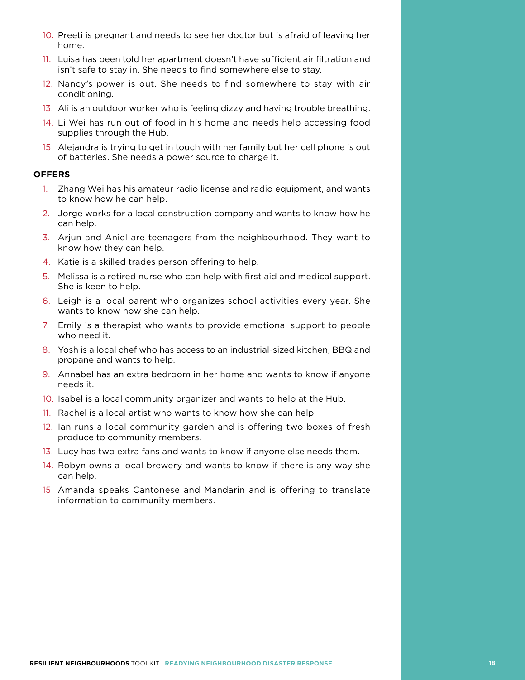- 10. Preeti is pregnant and needs to see her doctor but is afraid of leaving her home.
- 11. Luisa has been told her apartment doesn't have sufficient air filtration and isn't safe to stay in. She needs to find somewhere else to stay.
- 12. Nancy's power is out. She needs to find somewhere to stay with air conditioning.
- 13. Ali is an outdoor worker who is feeling dizzy and having trouble breathing.
- 14. Li Wei has run out of food in his home and needs help accessing food supplies through the Hub.
- 15. Alejandra is trying to get in touch with her family but her cell phone is out of batteries. She needs a power source to charge it.

#### **OFFERS**

- 1. Zhang Wei has his amateur radio license and radio equipment, and wants to know how he can help.
- 2. Jorge works for a local construction company and wants to know how he can help.
- 3. Arjun and Aniel are teenagers from the neighbourhood. They want to know how they can help.
- 4. Katie is a skilled trades person offering to help.
- 5. Melissa is a retired nurse who can help with first aid and medical support. She is keen to help.
- 6. Leigh is a local parent who organizes school activities every year. She wants to know how she can help.
- 7. Emily is a therapist who wants to provide emotional support to people who need it.
- 8. Yosh is a local chef who has access to an industrial-sized kitchen, BBQ and propane and wants to help.
- 9. Annabel has an extra bedroom in her home and wants to know if anyone needs it.
- 10. Isabel is a local community organizer and wants to help at the Hub.
- 11. Rachel is a local artist who wants to know how she can help.
- 12. Ian runs a local community garden and is offering two boxes of fresh produce to community members.
- 13. Lucy has two extra fans and wants to know if anyone else needs them.
- 14. Robyn owns a local brewery and wants to know if there is any way she can help.
- 15. Amanda speaks Cantonese and Mandarin and is offering to translate information to community members.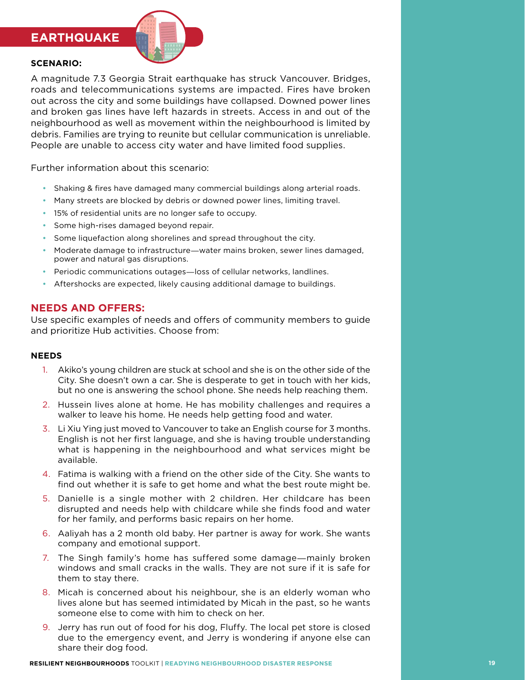### **EARTHQUAKE**



#### **SCENARIO:**

A magnitude 7.3 Georgia Strait earthquake has struck Vancouver. Bridges, roads and telecommunications systems are impacted. Fires have broken out across the city and some buildings have collapsed. Downed power lines and broken gas lines have left hazards in streets. Access in and out of the neighbourhood as well as movement within the neighbourhood is limited by debris. Families are trying to reunite but cellular communication is unreliable. People are unable to access city water and have limited food supplies.

Further information about this scenario:

- Shaking & fires have damaged many commercial buildings along arterial roads.
- Many streets are blocked by debris or downed power lines, limiting travel.
- 15% of residential units are no longer safe to occupy.
- Some high-rises damaged beyond repair.
- Some liquefaction along shorelines and spread throughout the city.
- Moderate damage to infrastructure—water mains broken, sewer lines damaged, power and natural gas disruptions.
- Periodic communications outages—loss of cellular networks, landlines.
- Aftershocks are expected, likely causing additional damage to buildings.

#### **NEEDS AND OFFERS:**

Use specific examples of needs and offers of community members to guide and prioritize Hub activities. Choose from:

#### **NEEDS**

- 1. Akiko's young children are stuck at school and she is on the other side of the City. She doesn't own a car. She is desperate to get in touch with her kids, but no one is answering the school phone. She needs help reaching them.
- 2. Hussein lives alone at home. He has mobility challenges and requires a walker to leave his home. He needs help getting food and water.
- 3. Li Xiu Ying just moved to Vancouver to take an English course for 3 months. English is not her first language, and she is having trouble understanding what is happening in the neighbourhood and what services might be available.
- 4. Fatima is walking with a friend on the other side of the City. She wants to find out whether it is safe to get home and what the best route might be.
- 5. Danielle is a single mother with 2 children. Her childcare has been disrupted and needs help with childcare while she finds food and water for her family, and performs basic repairs on her home.
- 6. Aaliyah has a 2 month old baby. Her partner is away for work. She wants company and emotional support.
- 7. The Singh family's home has suffered some damage―mainly broken windows and small cracks in the walls. They are not sure if it is safe for them to stay there.
- 8. Micah is concerned about his neighbour, she is an elderly woman who lives alone but has seemed intimidated by Micah in the past, so he wants someone else to come with him to check on her.
- 9. Jerry has run out of food for his dog, Fluffy. The local pet store is closed due to the emergency event, and Jerry is wondering if anyone else can share their dog food.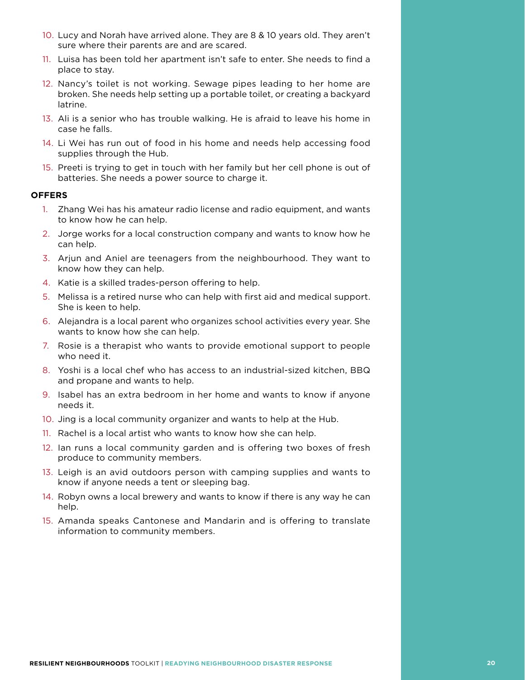- 10. Lucy and Norah have arrived alone. They are 8 & 10 years old. They aren't sure where their parents are and are scared.
- 11. Luisa has been told her apartment isn't safe to enter. She needs to find a place to stay.
- 12. Nancy's toilet is not working. Sewage pipes leading to her home are broken. She needs help setting up a portable toilet, or creating a backyard latrine.
- 13. Ali is a senior who has trouble walking. He is afraid to leave his home in case he falls.
- 14. Li Wei has run out of food in his home and needs help accessing food supplies through the Hub.
- 15. Preeti is trying to get in touch with her family but her cell phone is out of batteries. She needs a power source to charge it.

#### **OFFERS**

- 1. Zhang Wei has his amateur radio license and radio equipment, and wants to know how he can help.
- 2. Jorge works for a local construction company and wants to know how he can help.
- 3. Arjun and Aniel are teenagers from the neighbourhood. They want to know how they can help.
- 4. Katie is a skilled trades-person offering to help.
- 5. Melissa is a retired nurse who can help with first aid and medical support. She is keen to help.
- 6. Alejandra is a local parent who organizes school activities every year. She wants to know how she can help.
- 7. Rosie is a therapist who wants to provide emotional support to people who need it.
- 8. Yoshi is a local chef who has access to an industrial-sized kitchen, BBQ and propane and wants to help.
- 9. Isabel has an extra bedroom in her home and wants to know if anyone needs it.
- 10. Jing is a local community organizer and wants to help at the Hub.
- 11. Rachel is a local artist who wants to know how she can help.
- 12. Ian runs a local community garden and is offering two boxes of fresh produce to community members.
- 13. Leigh is an avid outdoors person with camping supplies and wants to know if anyone needs a tent or sleeping bag.
- 14. Robyn owns a local brewery and wants to know if there is any way he can help.
- 15. Amanda speaks Cantonese and Mandarin and is offering to translate information to community members.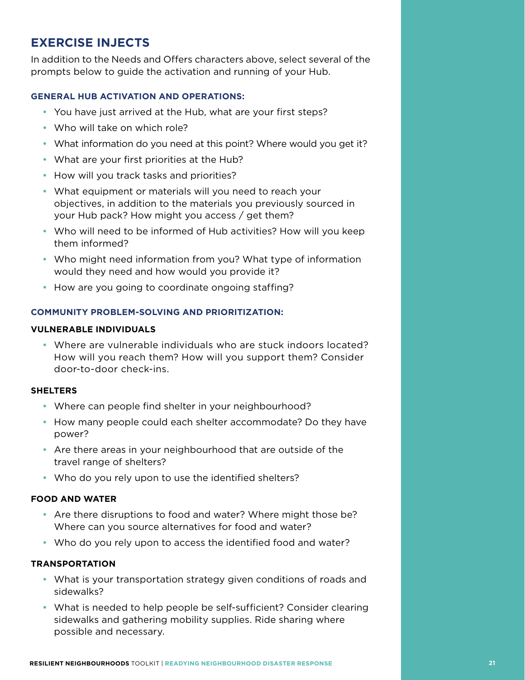## **EXERCISE INJECTS**

In addition to the Needs and Offers characters above, select several of the prompts below to guide the activation and running of your Hub.

#### **GENERAL HUB ACTIVATION AND OPERATIONS:**

- You have just arrived at the Hub, what are your first steps?
- Who will take on which role?
- What information do you need at this point? Where would you get it?
- What are your first priorities at the Hub?
- How will you track tasks and priorities?
- What equipment or materials will you need to reach your objectives, in addition to the materials you previously sourced in your Hub pack? How might you access / get them?
- Who will need to be informed of Hub activities? How will you keep them informed?
- Who might need information from you? What type of information would they need and how would you provide it?
- How are you going to coordinate ongoing staffing?

#### **COMMUNITY PROBLEM-SOLVING AND PRIORITIZATION:**

#### **VULNERABLE INDIVIDUALS**

• Where are vulnerable individuals who are stuck indoors located? How will you reach them? How will you support them? Consider door-to-door check-ins.

#### **SHELTERS**

- Where can people find shelter in your neighbourhood?
- How many people could each shelter accommodate? Do they have power?
- Are there areas in your neighbourhood that are outside of the travel range of shelters?
- Who do you rely upon to use the identified shelters?

#### **FOOD AND WATER**

- Are there disruptions to food and water? Where might those be? Where can you source alternatives for food and water?
- Who do you rely upon to access the identified food and water?

#### **TRANSPORTATION**

- What is your transportation strategy given conditions of roads and sidewalks?
- What is needed to help people be self-sufficient? Consider clearing sidewalks and gathering mobility supplies. Ride sharing where possible and necessary.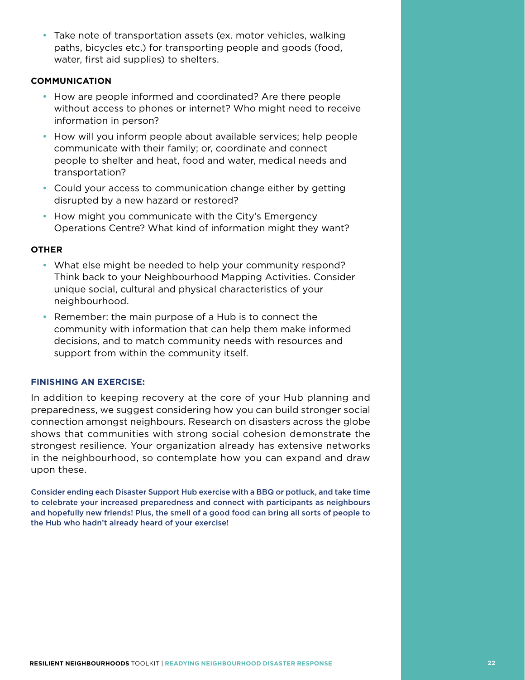• Take note of transportation assets (ex. motor vehicles, walking paths, bicycles etc.) for transporting people and goods (food, water, first aid supplies) to shelters.

#### **COMMUNICATION**

- How are people informed and coordinated? Are there people without access to phones or internet? Who might need to receive information in person?
- How will you inform people about available services; help people communicate with their family; or, coordinate and connect people to shelter and heat, food and water, medical needs and transportation?
- Could your access to communication change either by getting disrupted by a new hazard or restored?
- How might you communicate with the City's Emergency Operations Centre? What kind of information might they want?

#### **OTHER**

- What else might be needed to help your community respond? Think back to your Neighbourhood Mapping Activities. Consider unique social, cultural and physical characteristics of your neighbourhood.
- Remember: the main purpose of a Hub is to connect the community with information that can help them make informed decisions, and to match community needs with resources and support from within the community itself.

#### **FINISHING AN EXERCISE:**

In addition to keeping recovery at the core of your Hub planning and preparedness, we suggest considering how you can build stronger social connection amongst neighbours. Research on disasters across the globe shows that communities with strong social cohesion demonstrate the strongest resilience. Your organization already has extensive networks in the neighbourhood, so contemplate how you can expand and draw upon these.

Consider ending each Disaster Support Hub exercise with a BBQ or potluck, and take time to celebrate your increased preparedness and connect with participants as neighbours and hopefully new friends! Plus, the smell of a good food can bring all sorts of people to the Hub who hadn't already heard of your exercise!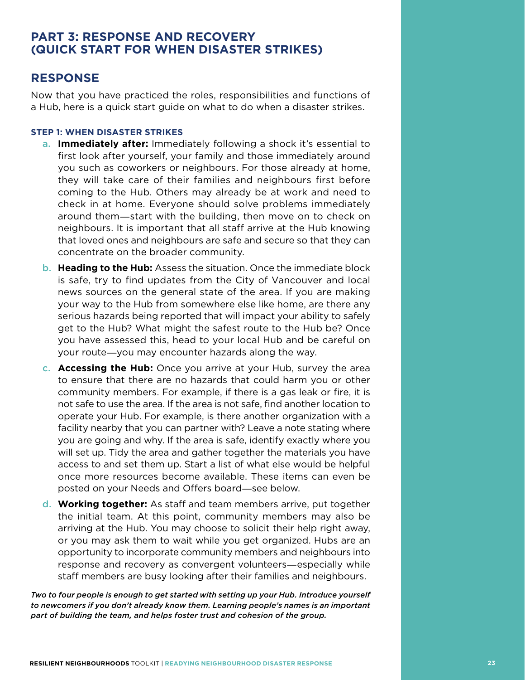## **PART 3: RESPONSE AND RECOVERY (QUICK START FOR WHEN DISASTER STRIKES)**

### **RESPONSE**

Now that you have practiced the roles, responsibilities and functions of a Hub, here is a quick start guide on what to do when a disaster strikes.

#### **STEP 1: WHEN DISASTER STRIKES**

- **a. Immediately after:** Immediately following a shock it's essential to first look after yourself, your family and those immediately around you such as coworkers or neighbours. For those already at home, they will take care of their families and neighbours first before coming to the Hub. Others may already be at work and need to check in at home. Everyone should solve problems immediately around them―start with the building, then move on to check on neighbours. It is important that all staff arrive at the Hub knowing that loved ones and neighbours are safe and secure so that they can concentrate on the broader community.
- **b. Heading to the Hub:** Assess the situation. Once the immediate block is safe, try to find updates from the City of Vancouver and local news sources on the general state of the area. If you are making your way to the Hub from somewhere else like home, are there any serious hazards being reported that will impact your ability to safely get to the Hub? What might the safest route to the Hub be? Once you have assessed this, head to your local Hub and be careful on your route―you may encounter hazards along the way.
- c. **Accessing the Hub:** Once you arrive at your Hub, survey the area to ensure that there are no hazards that could harm you or other community members. For example, if there is a gas leak or fire, it is not safe to use the area. If the area is not safe, find another location to operate your Hub. For example, is there another organization with a facility nearby that you can partner with? Leave a note stating where you are going and why. If the area is safe, identify exactly where you will set up. Tidy the area and gather together the materials you have access to and set them up. Start a list of what else would be helpful once more resources become available. These items can even be posted on your Needs and Offers board―see below.
- d. **Working together:** As staff and team members arrive, put together the initial team. At this point, community members may also be arriving at the Hub. You may choose to solicit their help right away, or you may ask them to wait while you get organized. Hubs are an opportunity to incorporate community members and neighbours into response and recovery as convergent volunteers―especially while staff members are busy looking after their families and neighbours.

*Two to four people is enough to get started with setting up your Hub. Introduce yourself to newcomers if you don't already know them. Learning people's names is an important part of building the team, and helps foster trust and cohesion of the group.*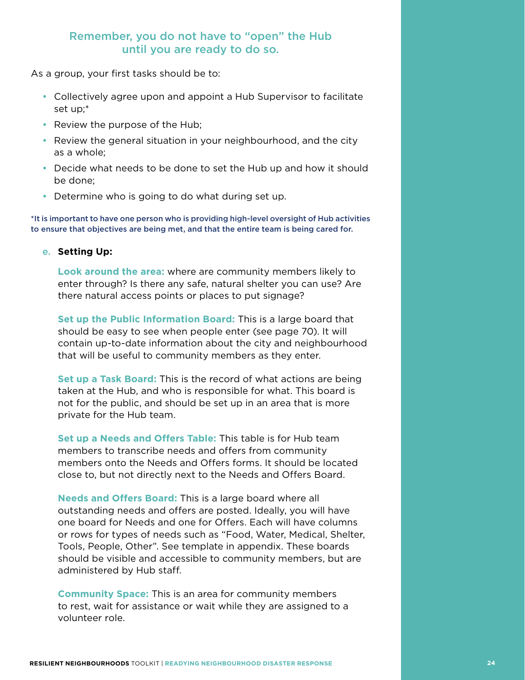### Remember, you do not have to "open" the Hub until you are ready to do so.

As a group, your first tasks should be to:

- Collectively agree upon and appoint a Hub Supervisor to facilitate set up;\*
- Review the purpose of the Hub;
- Review the general situation in your neighbourhood, and the city as a whole;
- Decide what needs to be done to set the Hub up and how it should be done;
- Determine who is going to do what during set up.

\*It is important to have one person who is providing high-level oversight of Hub activities to ensure that objectives are being met, and that the entire team is being cared for.

#### e. **Setting Up:**

**Look around the area:** where are community members likely to enter through? Is there any safe, natural shelter you can use? Are there natural access points or places to put signage?

**Set up the Public Information Board:** This is a large board that should be easy to see when people enter (see page 70). It will contain up-to-date information about the city and neighbourhood that will be useful to community members as they enter.

**Set up a Task Board:** This is the record of what actions are being taken at the Hub, and who is responsible for what. This board is not for the public, and should be set up in an area that is more private for the Hub team.

**Set up a Needs and Offers Table:** This table is for Hub team members to transcribe needs and offers from community members onto the Needs and Offers forms. It should be located close to, but not directly next to the Needs and Offers Board.

**Needs and Offers Board:** This is a large board where all outstanding needs and offers are posted. Ideally, you will have one board for Needs and one for Offers. Each will have columns or rows for types of needs such as "Food, Water, Medical, Shelter, Tools, People, Other". See template in appendix. These boards should be visible and accessible to community members, but are administered by Hub staff.

**Community Space:** This is an area for community members to rest, wait for assistance or wait while they are assigned to a volunteer role.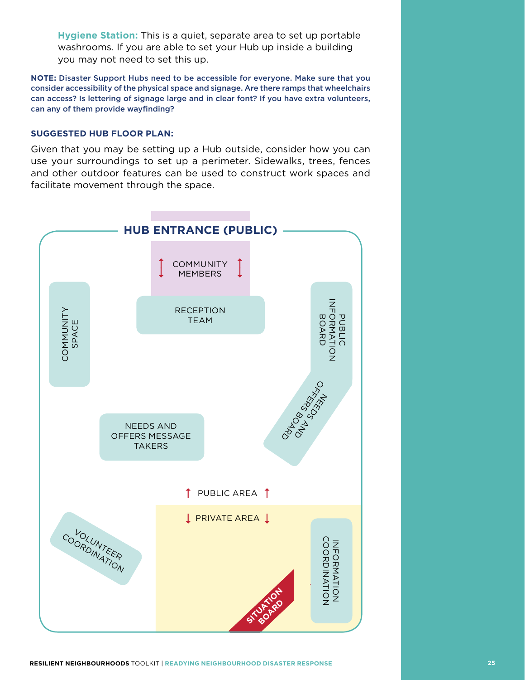**Hygiene Station:** This is a quiet, separate area to set up portable washrooms. If you are able to set your Hub up inside a building you may not need to set this up.

**NOTE:** Disaster Support Hubs need to be accessible for everyone. Make sure that you consider accessibility of the physical space and signage. Are there ramps that wheelchairs can access? Is lettering of signage large and in clear font? If you have extra volunteers, can any of them provide wayfinding?

#### **SUGGESTED HUB FLOOR PLAN:**

Given that you may be setting up a Hub outside, consider how you can use your surroundings to set up a perimeter. Sidewalks, trees, fences and other outdoor features can be used to construct work spaces and facilitate movement through the space.

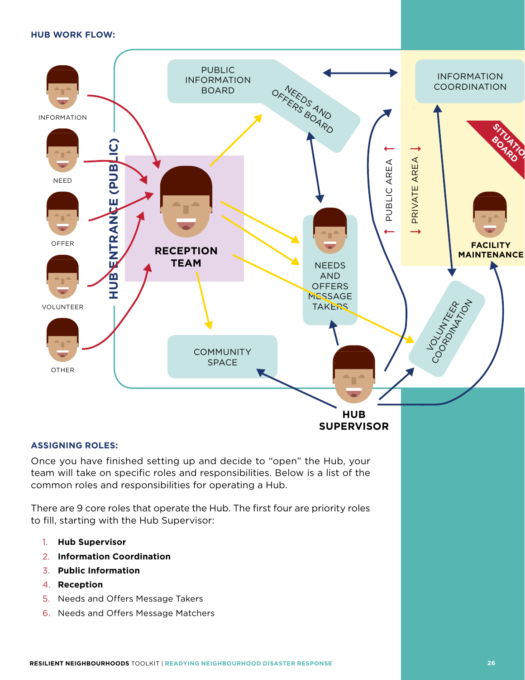#### **HUB WORK FLOW:**



#### **ASSIGNING ROLES:**

Once you have finished setting up and decide to "open" the Hub, your team will take on specific roles and responsibilities. Below is a list of the common roles and responsibilities for operating a Hub.

There are 9 core roles that operate the Hub. The first four are priority roles to fill, starting with the Hub Supervisor:

- 1. **Hub Supervisor**
- 2. **Information Coordination**
- 3. **Public Information**
- 4. **Reception**
- 5. Needs and Offers Message Takers
- 6. Needs and Offers Message Matchers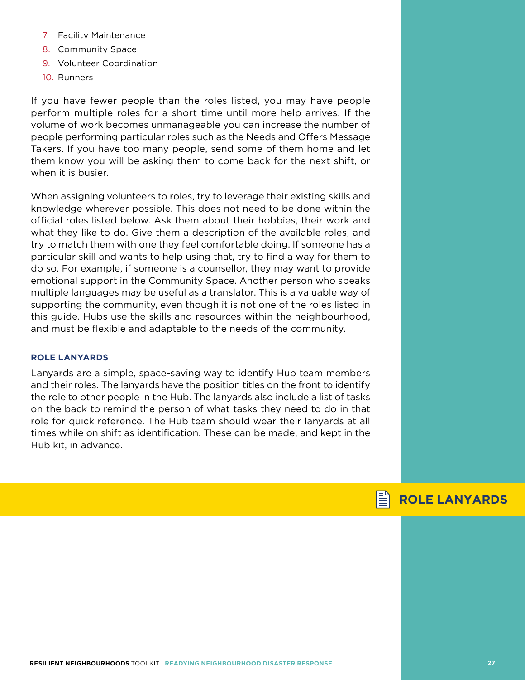- 7. Facility Maintenance
- 8. Community Space
- 9. Volunteer Coordination
- 10. Runners

If you have fewer people than the roles listed, you may have people perform multiple roles for a short time until more help arrives. If the volume of work becomes unmanageable you can increase the number of people performing particular roles such as the Needs and Offers Message Takers. If you have too many people, send some of them home and let them know you will be asking them to come back for the next shift, or when it is busier.

When assigning volunteers to roles, try to leverage their existing skills and knowledge wherever possible. This does not need to be done within the official roles listed below. Ask them about their hobbies, their work and what they like to do. Give them a description of the available roles, and try to match them with one they feel comfortable doing. If someone has a particular skill and wants to help using that, try to find a way for them to do so. For example, if someone is a counsellor, they may want to provide emotional support in the Community Space. Another person who speaks multiple languages may be useful as a translator. This is a valuable way of supporting the community, even though it is not one of the roles listed in this guide. Hubs use the skills and resources within the neighbourhood, and must be flexible and adaptable to the needs of the community.

#### **ROLE LANYARDS**

Lanyards are a simple, space-saving way to identify Hub team members and their roles. The lanyards have the position titles on the front to identify the role to other people in the Hub. The lanyards also include a list of tasks on the back to remind the person of what tasks they need to do in that role for quick reference. The Hub team should wear their lanyards at all times while on shift as identification. These can be made, and kept in the Hub kit, in advance.

## **ROLE LANYARDS**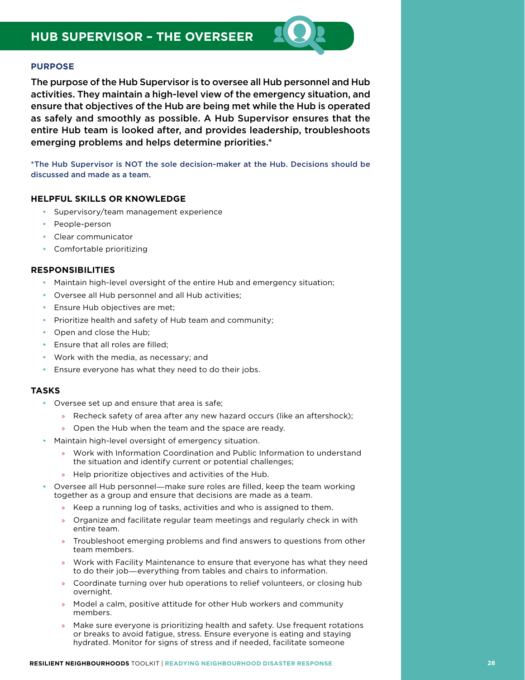The purpose of the Hub Supervisor is to oversee all Hub personnel and Hub activities. They maintain a high-level view of the emergency situation, and ensure that objectives of the Hub are being met while the Hub is operated as safely and smoothly as possible. A Hub Supervisor ensures that the entire Hub team is looked after, and provides leadership, troubleshoots emerging problems and helps determine priorities.\*

\*The Hub Supervisor is NOT the sole decision-maker at the Hub. Decisions should be discussed and made as a team.

#### **HELPFUL SKILLS OR KNOWLEDGE**

- • Supervisory/team management experience
- People-person
- Clear communicator
- • Comfortable prioritizing

#### **RESPONSIBILITIES**

- Maintain high-level oversight of the entire Hub and emergency situation;
- Oversee all Hub personnel and all Hub activities;
- Ensure Hub objectives are met;
- • Prioritize health and safety of Hub team and community;
- Open and close the Hub;
- Ensure that all roles are filled:
- • Work with the media, as necessary; and
- Ensure everyone has what they need to do their jobs.

- Oversee set up and ensure that area is safe;
	- » Recheck safety of area after any new hazard occurs (like an aftershock);
	- » Open the Hub when the team and the space are ready.
- Maintain high-level oversight of emergency situation.
	- » Work with Information Coordination and Public Information to understand the situation and identify current or potential challenges;
	- » Help prioritize objectives and activities of the Hub.
- Oversee all Hub personnel—make sure roles are filled, keep the team working together as a group and ensure that decisions are made as a team.
	- » Keep a running log of tasks, activities and who is assigned to them.
	- » Organize and facilitate regular team meetings and regularly check in with entire team.
	- » Troubleshoot emerging problems and find answers to questions from other team members.
	- » Work with Facility Maintenance to ensure that everyone has what they need to do their job―everything from tables and chairs to information.
	- » Coordinate turning over hub operations to relief volunteers, or closing hub overnight.
	- » Model a calm, positive attitude for other Hub workers and community members.
	- » Make sure everyone is prioritizing health and safety. Use frequent rotations or breaks to avoid fatigue, stress. Ensure everyone is eating and staying hydrated. Monitor for signs of stress and if needed, facilitate someone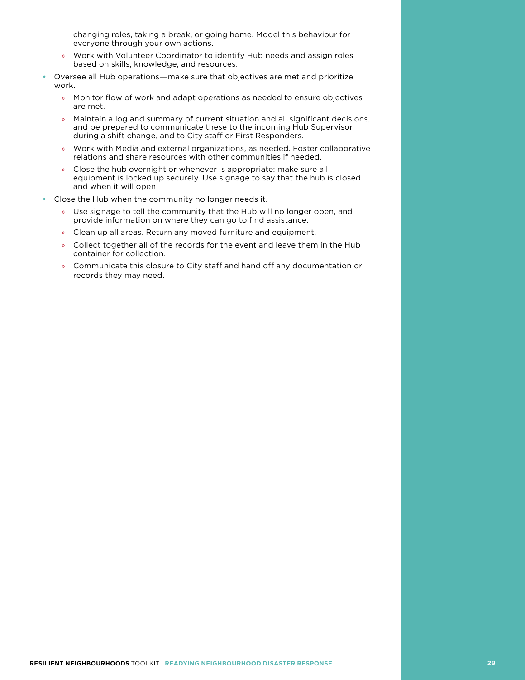changing roles, taking a break, or going home. Model this behaviour for everyone through your own actions.

- » Work with Volunteer Coordinator to identify Hub needs and assign roles based on skills, knowledge, and resources.
- Oversee all Hub operations—make sure that objectives are met and prioritize work.
	- » Monitor flow of work and adapt operations as needed to ensure objectives are met.
	- » Maintain a log and summary of current situation and all significant decisions, and be prepared to communicate these to the incoming Hub Supervisor during a shift change, and to City staff or First Responders.
	- » Work with Media and external organizations, as needed. Foster collaborative relations and share resources with other communities if needed.
	- » Close the hub overnight or whenever is appropriate: make sure all equipment is locked up securely. Use signage to say that the hub is closed and when it will open.
- Close the Hub when the community no longer needs it.
	- » Use signage to tell the community that the Hub will no longer open, and provide information on where they can go to find assistance.
	- » Clean up all areas. Return any moved furniture and equipment.
	- » Collect together all of the records for the event and leave them in the Hub container for collection.
	- » Communicate this closure to City staff and hand off any documentation or records they may need.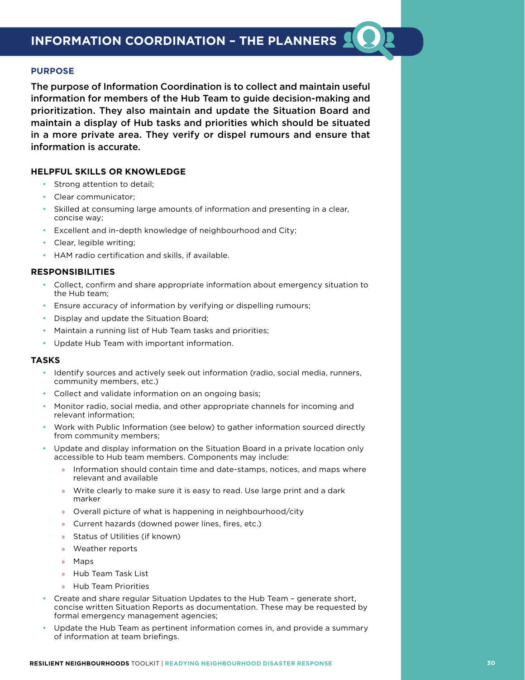The purpose of Information Coordination is to collect and maintain useful information for members of the Hub Team to guide decision-making and prioritization. They also maintain and update the Situation Board and maintain a display of Hub tasks and priorities which should be situated in a more private area. They verify or dispel rumours and ensure that information is accurate.

#### **HELPFUL SKILLS OR KNOWLEDGE**

- Strong attention to detail;
- Clear communicator;
- Skilled at consuming large amounts of information and presenting in a clear, concise way;
- Excellent and in-depth knowledge of neighbourhood and City;
- Clear, legible writing;
- HAM radio certification and skills, if available.

#### **RESPONSIBILITIES**

- • Collect, confirm and share appropriate information about emergency situation to the Hub team;
- Ensure accuracy of information by verifying or dispelling rumours;
- • Display and update the Situation Board;
- Maintain a running list of Hub Team tasks and priorities;
- • Update Hub Team with important information.

- Identify sources and actively seek out information (radio, social media, runners, community members, etc.)
- Collect and validate information on an ongoing basis;
- Monitor radio, social media, and other appropriate channels for incoming and relevant information;
- Work with Public Information (see below) to gather information sourced directly from community members;
- Update and display information on the Situation Board in a private location only accessible to Hub team members. Components may include:
	- Information should contain time and date-stamps, notices, and maps where relevant and available
	- » Write clearly to make sure it is easy to read. Use large print and a dark marker
	- » Overall picture of what is happening in neighbourhood/city
	- » Current hazards (downed power lines, fires, etc.)
	- » Status of Utilities (if known)
	- » Weather reports
	- » Maps
	- » Hub Team Task List
	- » Hub Team Priorities
- Create and share regular Situation Updates to the Hub Team generate short, concise written Situation Reports as documentation. These may be requested by formal emergency management agencies;
- Update the Hub Team as pertinent information comes in, and provide a summary of information at team briefings.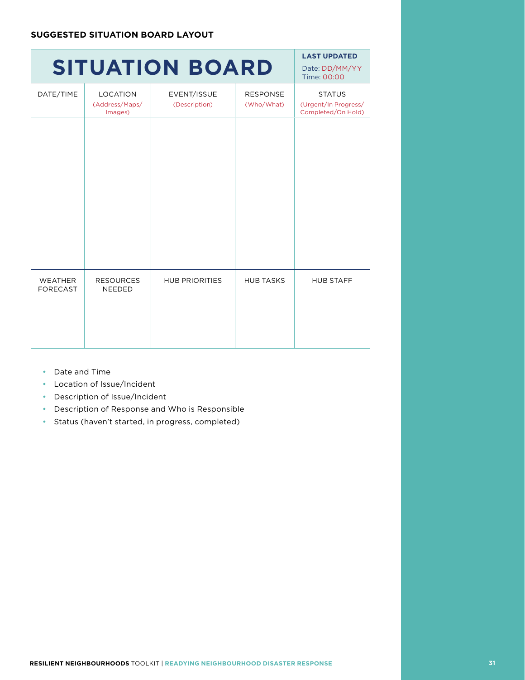## **SITUATION BOARD**

Time: 00:00 DATE/TIME LOCATION (Address/Maps/ Images) EVENT/ISSUE (Description) RESPONSE (Who/What) **STATUS** (Urgent/In Progress/ Completed/On Hold) WEATHER FORECAST RESOURCES NEEDED HUB PRIORITIES | HUB TASKS | HUB STAFF

**LAST UPDATED** Date: DD/MM/YY

- • Date and Time
- • Location of Issue/Incident
- • Description of Issue/Incident
- • Description of Response and Who is Responsible
- • Status (haven't started, in progress, completed)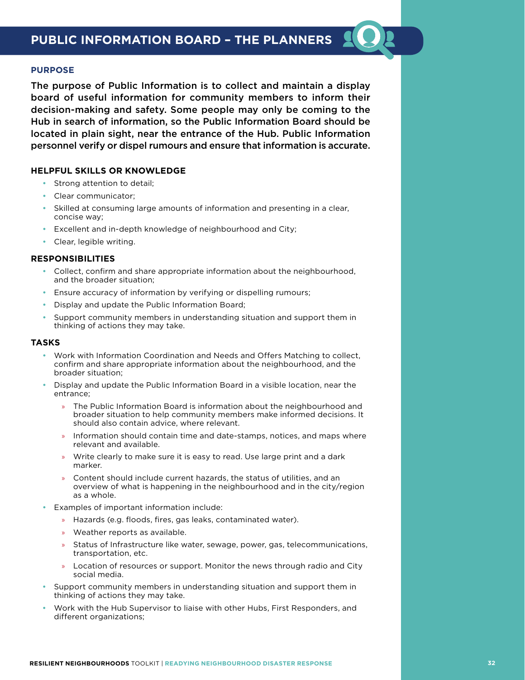

The purpose of Public Information is to collect and maintain a display board of useful information for community members to inform their decision-making and safety. Some people may only be coming to the Hub in search of information, so the Public Information Board should be located in plain sight, near the entrance of the Hub. Public Information personnel verify or dispel rumours and ensure that information is accurate.

#### **HELPFUL SKILLS OR KNOWLEDGE**

- Strong attention to detail;
- Clear communicator:
- Skilled at consuming large amounts of information and presenting in a clear, concise way;
- Excellent and in-depth knowledge of neighbourhood and City;
- • Clear, legible writing.

#### **RESPONSIBILITIES**

- Collect, confirm and share appropriate information about the neighbourhood, and the broader situation;
- Ensure accuracy of information by verifying or dispelling rumours;
- Display and update the Public Information Board;
- Support community members in understanding situation and support them in thinking of actions they may take.

- Work with Information Coordination and Needs and Offers Matching to collect, confirm and share appropriate information about the neighbourhood, and the broader situation;
- Display and update the Public Information Board in a visible location, near the entrance;
	- » The Public Information Board is information about the neighbourhood and broader situation to help community members make informed decisions. It should also contain advice, where relevant.
	- Information should contain time and date-stamps, notices, and maps where relevant and available.
	- » Write clearly to make sure it is easy to read. Use large print and a dark marker.
	- » Content should include current hazards, the status of utilities, and an overview of what is happening in the neighbourhood and in the city/region as a whole.
- Examples of important information include:
	- » Hazards (e.g. floods, fires, gas leaks, contaminated water).
	- » Weather reports as available.
	- » Status of Infrastructure like water, sewage, power, gas, telecommunications, transportation, etc.
	- » Location of resources or support. Monitor the news through radio and City social media.
- Support community members in understanding situation and support them in thinking of actions they may take.
- Work with the Hub Supervisor to liaise with other Hubs, First Responders, and different organizations;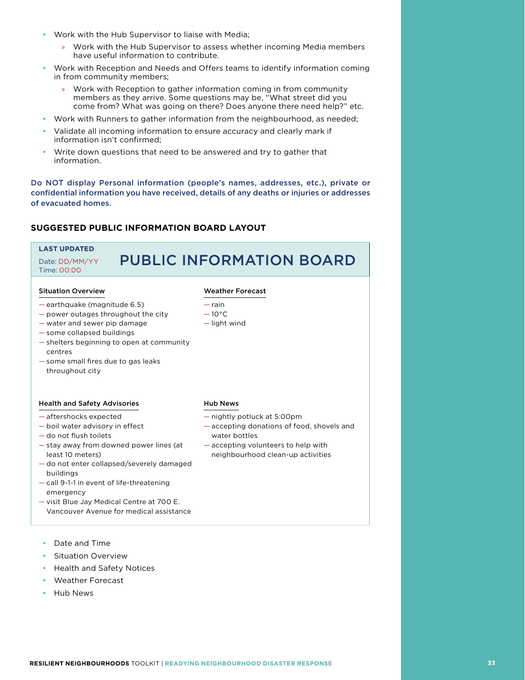- Work with the Hub Supervisor to liaise with Media;
	- » Work with the Hub Supervisor to assess whether incoming Media members have useful information to contribute.
- Work with Reception and Needs and Offers teams to identify information coming in from community members;
	- » Work with Reception to gather information coming in from community members as they arrive. Some questions may be, "What street did you come from? What was going on there? Does anyone there need help?" etc.
- Work with Runners to gather information from the neighbourhood, as needed;
- Validate all incoming information to ensure accuracy and clearly mark if information isn't confirmed;
- Write down questions that need to be answered and try to gather that information.

Do NOT display Personal information (people's names, addresses, etc.), private or confidential information you have received, details of any deaths or injuries or addresses of evacuated homes.

#### **SUGGESTED PUBLIC INFORMATION BOARD LAYOUT**

#### **LAST UPDATED** Date: DD/MM/YY Time: 00:00 PUBLIC INFORMATION BOARD Situation Overview — earthquake (magnitude 6.5) — power outages throughout the city — water and sewer pip damage — some collapsed buildings — shelters beginning to open at community centres — some small fires due to gas leaks throughout city Weather Forecast — rain  $-10^{\circ}$ C — light wind Health and Safety Advisories — aftershocks expected — boil water advisory in effect — do not flush toilets — stay away from downed power lines (at least 10 meters) — do not enter collapsed/severely damaged buildings — call 9-1-1 in event of life-threatening emergency — visit Blue Jay Medical Centre at 700 E. Vancouver Avenue for medical assistance Hub News — nightly potluck at 5:00pm — accepting donations of food, shovels and water bottles — accepting volunteers to help with neighbourhood clean-up activities

- Date and Time
- **Situation Overview**
- **Health and Safety Notices**
- Weather Forecast
- • Hub News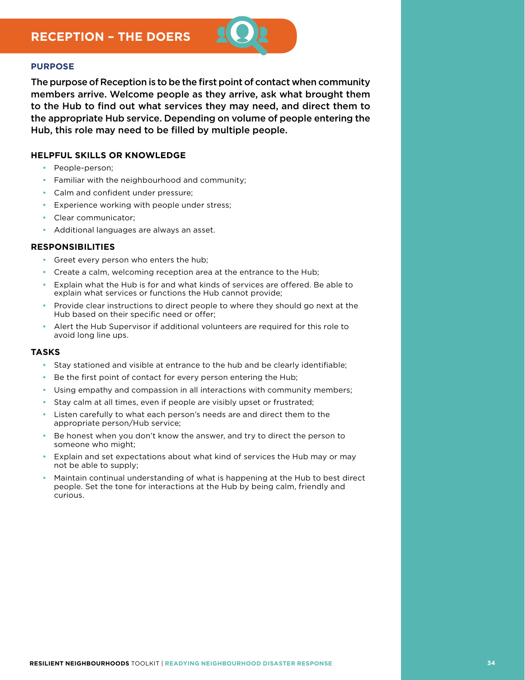

The purpose of Reception is to be the first point of contact when community members arrive. Welcome people as they arrive, ask what brought them to the Hub to find out what services they may need, and direct them to the appropriate Hub service. Depending on volume of people entering the Hub, this role may need to be filled by multiple people.

#### **HELPFUL SKILLS OR KNOWLEDGE**

- People-person:
- Familiar with the neighbourhood and community;
- • Calm and confident under pressure;
- • Experience working with people under stress;
- Clear communicator;
- • Additional languages are always an asset.

#### **RESPONSIBILITIES**

- • Greet every person who enters the hub;
- Create a calm, welcoming reception area at the entrance to the Hub;
- Explain what the Hub is for and what kinds of services are offered. Be able to explain what services or functions the Hub cannot provide;
- Provide clear instructions to direct people to where they should go next at the Hub based on their specific need or offer;
- Alert the Hub Supervisor if additional volunteers are required for this role to avoid long line ups.

- Stay stationed and visible at entrance to the hub and be clearly identifiable;
- Be the first point of contact for every person entering the Hub;
- Using empathy and compassion in all interactions with community members;
- Stay calm at all times, even if people are visibly upset or frustrated;
- Listen carefully to what each person's needs are and direct them to the appropriate person/Hub service;
- Be honest when you don't know the answer, and try to direct the person to someone who might;
- Explain and set expectations about what kind of services the Hub may or may not be able to supply;
- Maintain continual understanding of what is happening at the Hub to best direct people. Set the tone for interactions at the Hub by being calm, friendly and curious.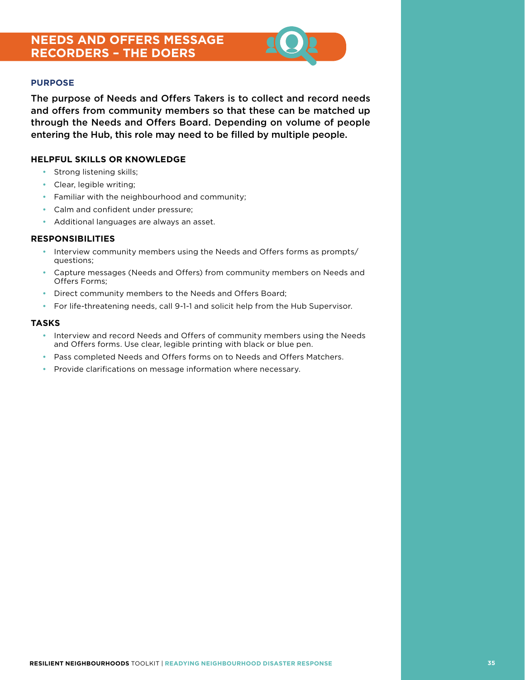## **NEEDS AND OFFERS MESSAGE RECORDERS – THE DOERS**



#### **PURPOSE**

The purpose of Needs and Offers Takers is to collect and record needs and offers from community members so that these can be matched up through the Needs and Offers Board. Depending on volume of people entering the Hub, this role may need to be filled by multiple people.

#### **HELPFUL SKILLS OR KNOWLEDGE**

- Strong listening skills;
- • Clear, legible writing;
- Familiar with the neighbourhood and community;
- Calm and confident under pressure;
- • Additional languages are always an asset.

#### **RESPONSIBILITIES**

- Interview community members using the Needs and Offers forms as prompts/ questions;
- Capture messages (Needs and Offers) from community members on Needs and Offers Forms;
- Direct community members to the Needs and Offers Board;
- • For life-threatening needs, call 9-1-1 and solicit help from the Hub Supervisor.

- • Interview and record Needs and Offers of community members using the Needs and Offers forms. Use clear, legible printing with black or blue pen.
- Pass completed Needs and Offers forms on to Needs and Offers Matchers.
- Provide clarifications on message information where necessary.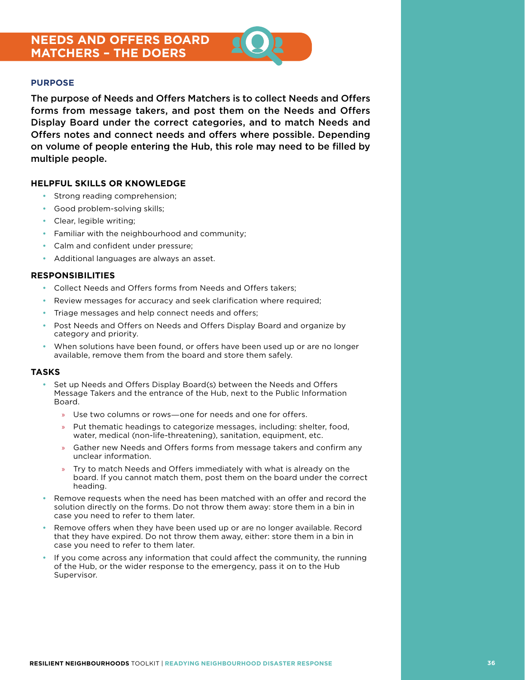## **NEEDS AND OFFERS BOARD MATCHERS – THE DOERS**



#### **PURPOSE**

The purpose of Needs and Offers Matchers is to collect Needs and Offers forms from message takers, and post them on the Needs and Offers Display Board under the correct categories, and to match Needs and Offers notes and connect needs and offers where possible. Depending on volume of people entering the Hub, this role may need to be filled by multiple people.

#### **HELPFUL SKILLS OR KNOWLEDGE**

- Strong reading comprehension;
- Good problem-solving skills;
- • Clear, legible writing;
- Familiar with the neighbourhood and community;
- • Calm and confident under pressure;
- • Additional languages are always an asset.

#### **RESPONSIBILITIES**

- Collect Needs and Offers forms from Needs and Offers takers;
- Review messages for accuracy and seek clarification where required;
- Triage messages and help connect needs and offers;
- Post Needs and Offers on Needs and Offers Display Board and organize by category and priority.
- When solutions have been found, or offers have been used up or are no longer available, remove them from the board and store them safely.

- Set up Needs and Offers Display Board(s) between the Needs and Offers Message Takers and the entrance of the Hub, next to the Public Information Board.
	- » Use two columns or rows―one for needs and one for offers.
	- » Put thematic headings to categorize messages, including: shelter, food, water, medical (non-life-threatening), sanitation, equipment, etc.
	- » Gather new Needs and Offers forms from message takers and confirm any unclear information.
	- » Try to match Needs and Offers immediately with what is already on the board. If you cannot match them, post them on the board under the correct heading.
- Remove requests when the need has been matched with an offer and record the solution directly on the forms. Do not throw them away: store them in a bin in case you need to refer to them later.
- Remove offers when they have been used up or are no longer available. Record that they have expired. Do not throw them away, either: store them in a bin in case you need to refer to them later.
- If you come across any information that could affect the community, the running of the Hub, or the wider response to the emergency, pass it on to the Hub Supervisor.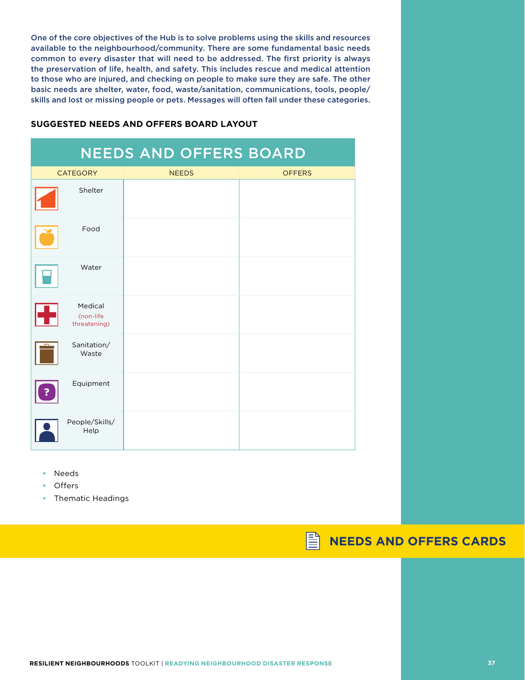One of the core objectives of the Hub is to solve problems using the skills and resources available to the neighbourhood/community. There are some fundamental basic needs common to every disaster that will need to be addressed. The first priority is always the preservation of life, health, and safety. This includes rescue and medical attention to those who are injured, and checking on people to make sure they are safe. The other basic needs are shelter, water, food, waste/sanitation, communications, tools, people/ skills and lost or missing people or pets. Messages will often fall under these categories.

#### **SUGGESTED NEEDS AND OFFERS BOARD LAYOUT**

| <b>NEEDS AND OFFERS BOARD</b> |                                      |              |               |
|-------------------------------|--------------------------------------|--------------|---------------|
| <b>CATEGORY</b>               |                                      | <b>NEEDS</b> | <b>OFFERS</b> |
|                               | Shelter                              |              |               |
|                               | Food                                 |              |               |
|                               | Water                                |              |               |
|                               | Medical<br>(non-life<br>threatening) |              |               |
|                               | Sanitation/<br>Waste                 |              |               |
|                               | Equipment                            |              |               |
|                               | People/Skills/<br>Help               |              |               |

- **Needs**
- **Offers**
- • Thematic Headings

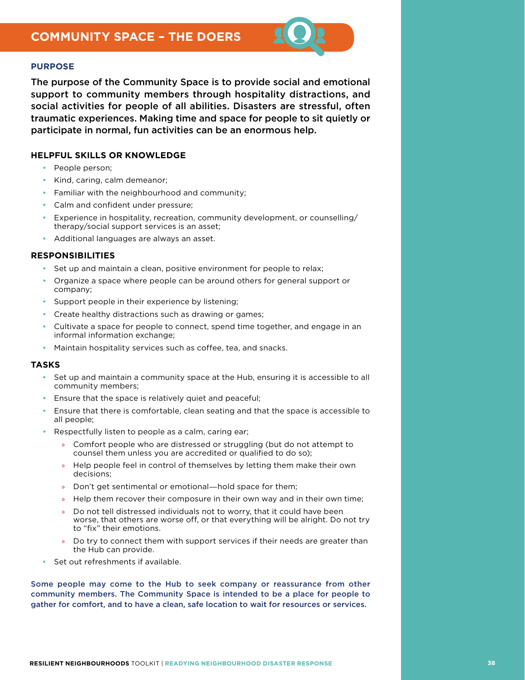

The purpose of the Community Space is to provide social and emotional support to community members through hospitality distractions, and social activities for people of all abilities. Disasters are stressful, often traumatic experiences. Making time and space for people to sit quietly or participate in normal, fun activities can be an enormous help.

#### **HELPFUL SKILLS OR KNOWLEDGE**

- People person:
- Kind, caring, calm demeanor;
- Familiar with the neighbourhood and community;
- Calm and confident under pressure;
- Experience in hospitality, recreation, community development, or counselling/ therapy/social support services is an asset;
- • Additional languages are always an asset.

#### **RESPONSIBILITIES**

- Set up and maintain a clean, positive environment for people to relax;
- Organize a space where people can be around others for general support or company;
- Support people in their experience by listening;
- Create healthy distractions such as drawing or games;
- Cultivate a space for people to connect, spend time together, and engage in an informal information exchange;
- Maintain hospitality services such as coffee, tea, and snacks.

#### **TASKS**

- Set up and maintain a community space at the Hub, ensuring it is accessible to all community members;
- Ensure that the space is relatively quiet and peaceful;
- Ensure that there is comfortable, clean seating and that the space is accessible to all people;
- Respectfully listen to people as a calm, caring ear;
	- » Comfort people who are distressed or struggling (but do not attempt to counsel them unless you are accredited or qualified to do so);
	- » Help people feel in control of themselves by letting them make their own decisions;
	- » Don't get sentimental or emotional―hold space for them;
	- » Help them recover their composure in their own way and in their own time;
	- » Do not tell distressed individuals not to worry, that it could have been worse, that others are worse off, or that everything will be alright. Do not try to "fix" their emotions.
	- » Do try to connect them with support services if their needs are greater than the Hub can provide.
- Set out refreshments if available.

Some people may come to the Hub to seek company or reassurance from other community members. The Community Space is intended to be a place for people to gather for comfort, and to have a clean, safe location to wait for resources or services.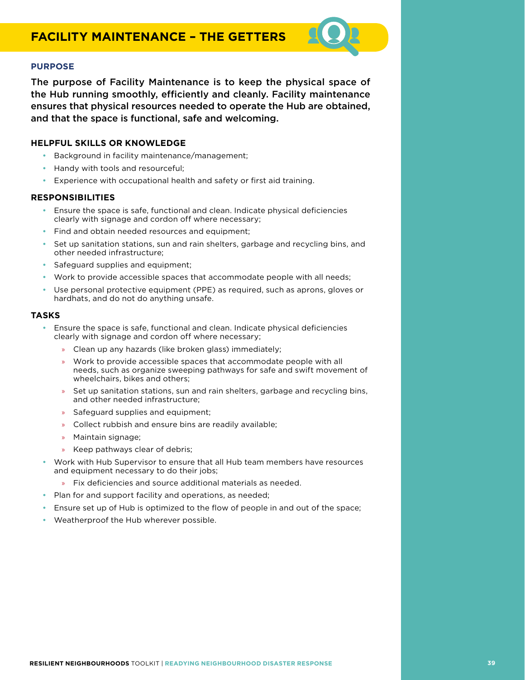The purpose of Facility Maintenance is to keep the physical space of the Hub running smoothly, efficiently and cleanly. Facility maintenance ensures that physical resources needed to operate the Hub are obtained, and that the space is functional, safe and welcoming.

#### **HELPFUL SKILLS OR KNOWLEDGE**

- Background in facility maintenance/management;
- Handy with tools and resourceful;
- Experience with occupational health and safety or first aid training.

#### **RESPONSIBILITIES**

- • Ensure the space is safe, functional and clean. Indicate physical deficiencies clearly with signage and cordon off where necessary;
- Find and obtain needed resources and equipment;
- Set up sanitation stations, sun and rain shelters, garbage and recycling bins, and other needed infrastructure;
- Safeguard supplies and equipment;
- Work to provide accessible spaces that accommodate people with all needs;
- Use personal protective equipment (PPE) as required, such as aprons, gloves or hardhats, and do not do anything unsafe.

- Ensure the space is safe, functional and clean. Indicate physical deficiencies clearly with signage and cordon off where necessary;
	- » Clean up any hazards (like broken glass) immediately;
	- » Work to provide accessible spaces that accommodate people with all needs, such as organize sweeping pathways for safe and swift movement of wheelchairs, bikes and others;
	- Set up sanitation stations, sun and rain shelters, garbage and recycling bins, and other needed infrastructure;
	- » Safeguard supplies and equipment;
	- » Collect rubbish and ensure bins are readily available;
	- » Maintain signage;
	- » Keep pathways clear of debris;
- Work with Hub Supervisor to ensure that all Hub team members have resources and equipment necessary to do their jobs;
	- » Fix deficiencies and source additional materials as needed.
- Plan for and support facility and operations, as needed;
- Ensure set up of Hub is optimized to the flow of people in and out of the space;
- • Weatherproof the Hub wherever possible.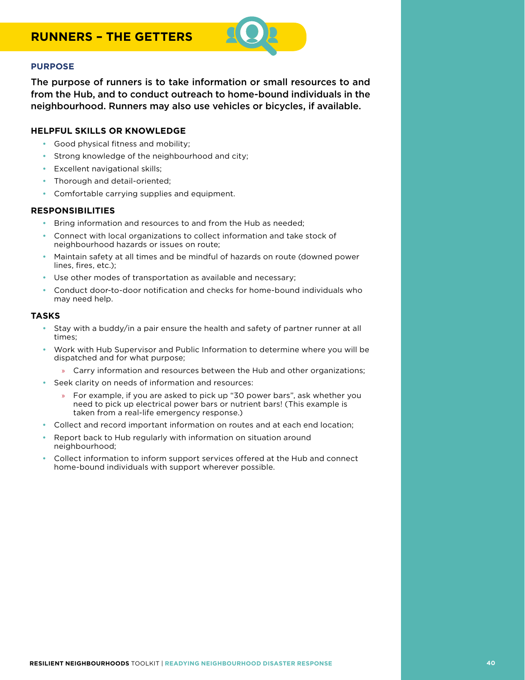

The purpose of runners is to take information or small resources to and from the Hub, and to conduct outreach to home-bound individuals in the neighbourhood. Runners may also use vehicles or bicycles, if available.

#### **HELPFUL SKILLS OR KNOWLEDGE**

- • Good physical fitness and mobility;
- Strong knowledge of the neighbourhood and city;
- **Excellent navigational skills;**
- Thorough and detail-oriented;
- • Comfortable carrying supplies and equipment.

#### **RESPONSIBILITIES**

- Bring information and resources to and from the Hub as needed;
- Connect with local organizations to collect information and take stock of neighbourhood hazards or issues on route;
- Maintain safety at all times and be mindful of hazards on route (downed power lines, fires, etc.);
- Use other modes of transportation as available and necessary;
- Conduct door-to-door notification and checks for home-bound individuals who may need help.

- Stay with a buddy/in a pair ensure the health and safety of partner runner at all times;
- Work with Hub Supervisor and Public Information to determine where you will be dispatched and for what purpose;
	- » Carry information and resources between the Hub and other organizations;
- Seek clarity on needs of information and resources:
	- » For example, if you are asked to pick up "30 power bars", ask whether you need to pick up electrical power bars or nutrient bars! (This example is taken from a real-life emergency response.)
- Collect and record important information on routes and at each end location;
- Report back to Hub regularly with information on situation around neighbourhood;
- Collect information to inform support services offered at the Hub and connect home-bound individuals with support wherever possible.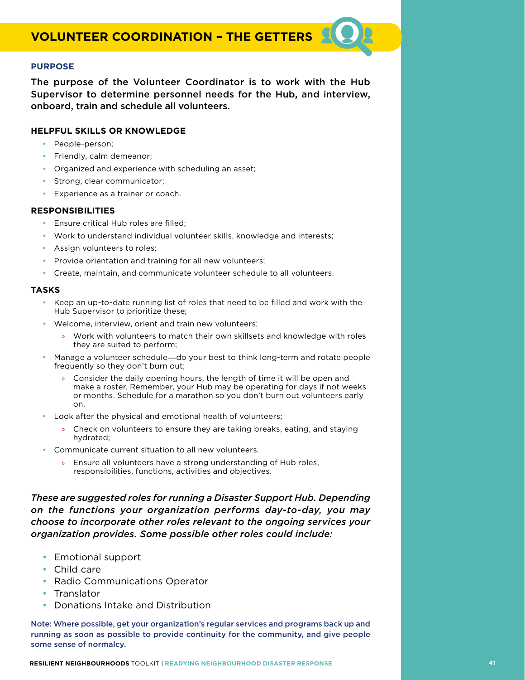The purpose of the Volunteer Coordinator is to work with the Hub Supervisor to determine personnel needs for the Hub, and interview, onboard, train and schedule all volunteers.

#### **HELPFUL SKILLS OR KNOWLEDGE**

- People-person;
- Friendly, calm demeanor;
- Organized and experience with scheduling an asset;
- Strong, clear communicator;
- • Experience as a trainer or coach.

#### **RESPONSIBILITIES**

- • Ensure critical Hub roles are filled;
- • Work to understand individual volunteer skills, knowledge and interests;
- Assign volunteers to roles;
- Provide orientation and training for all new volunteers;
- • Create, maintain, and communicate volunteer schedule to all volunteers.

#### **TASKS**

- • Keep an up-to-date running list of roles that need to be filled and work with the Hub Supervisor to prioritize these;
- Welcome, interview, orient and train new volunteers;
	- » Work with volunteers to match their own skillsets and knowledge with roles they are suited to perform;
- Manage a volunteer schedule—do your best to think long-term and rotate people frequently so they don't burn out;
	- » Consider the daily opening hours, the length of time it will be open and make a roster. Remember, your Hub may be operating for days if not weeks or months. Schedule for a marathon so you don't burn out volunteers early on.
- Look after the physical and emotional health of volunteers;
	- » Check on volunteers to ensure they are taking breaks, eating, and staying hydrated;
- Communicate current situation to all new volunteers.
	- » Ensure all volunteers have a strong understanding of Hub roles, responsibilities, functions, activities and objectives.

*These are suggested roles for running a Disaster Support Hub. Depending on the functions your organization performs day-to-day, you may choose to incorporate other roles relevant to the ongoing services your organization provides. Some possible other roles could include:*

- Emotional support
- • Child care
- Radio Communications Operator
- Translator
- • Donations Intake and Distribution

Note: Where possible, get your organization's regular services and programs back up and running as soon as possible to provide continuity for the community, and give people some sense of normalcy.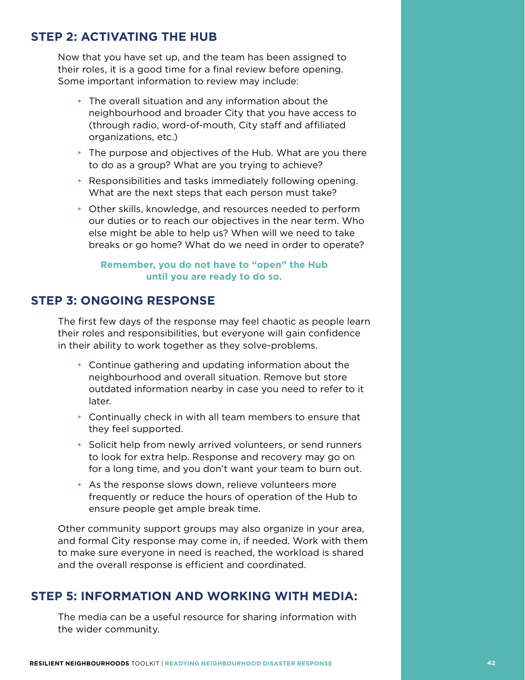## **STEP 2: ACTIVATING THE HUB**

Now that you have set up, and the team has been assigned to their roles, it is a good time for a final review before opening. Some important information to review may include:

- The overall situation and any information about the neighbourhood and broader City that you have access to (through radio, word-of-mouth, City staff and affiliated organizations, etc.)
- The purpose and objectives of the Hub. What are you there to do as a group? What are you trying to achieve?
- Responsibilities and tasks immediately following opening. What are the next steps that each person must take?
- Other skills, knowledge, and resources needed to perform our duties or to reach our objectives in the near term. Who else might be able to help us? When will we need to take breaks or go home? What do we need in order to operate?

#### **Remember, you do not have to "open" the Hub until you are ready to do so.**

## **STEP 3: ONGOING RESPONSE**

The first few days of the response may feel chaotic as people learn their roles and responsibilities, but everyone will gain confidence in their ability to work together as they solve-problems.

- Continue gathering and updating information about the neighbourhood and overall situation. Remove but store outdated information nearby in case you need to refer to it later.
- Continually check in with all team members to ensure that they feel supported.
- Solicit help from newly arrived volunteers, or send runners to look for extra help. Response and recovery may go on for a long time, and you don't want your team to burn out.
- As the response slows down, relieve volunteers more frequently or reduce the hours of operation of the Hub to ensure people get ample break time.

Other community support groups may also organize in your area, and formal City response may come in, if needed. Work with them to make sure everyone in need is reached, the workload is shared and the overall response is efficient and coordinated.

### **STEP 5: INFORMATION AND WORKING WITH MEDIA:**

The media can be a useful resource for sharing information with the wider community.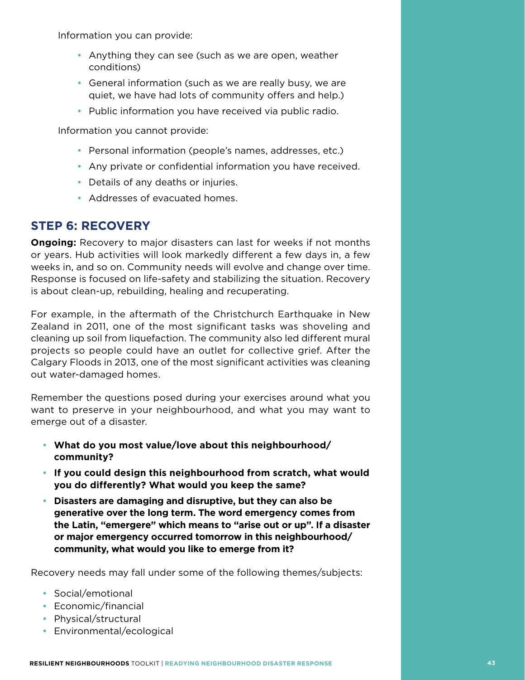Information you can provide:

- Anything they can see (such as we are open, weather conditions)
- General information (such as we are really busy, we are quiet, we have had lots of community offers and help.)
- Public information you have received via public radio.

Information you cannot provide:

- Personal information (people's names, addresses, etc.)
- Any private or confidential information you have received.
- Details of any deaths or injuries.
- Addresses of evacuated homes.

## **STEP 6: RECOVERY**

**Ongoing:** Recovery to major disasters can last for weeks if not months or years. Hub activities will look markedly different a few days in, a few weeks in, and so on. Community needs will evolve and change over time. Response is focused on life-safety and stabilizing the situation. Recovery is about clean-up, rebuilding, healing and recuperating.

For example, in the aftermath of the Christchurch Earthquake in New Zealand in 2011, one of the most significant tasks was shoveling and cleaning up soil from liquefaction. The community also led different mural projects so people could have an outlet for collective grief. After the Calgary Floods in 2013, one of the most significant activities was cleaning out water-damaged homes.

Remember the questions posed during your exercises around what you want to preserve in your neighbourhood, and what you may want to emerge out of a disaster.

- • **What do you most value/love about this neighbourhood/ community?**
- • **If you could design this neighbourhood from scratch, what would you do differently? What would you keep the same?**
- • **Disasters are damaging and disruptive, but they can also be generative over the long term. The word emergency comes from the Latin, "emergere" which means to "arise out or up". If a disaster or major emergency occurred tomorrow in this neighbourhood/ community, what would you like to emerge from it?**

Recovery needs may fall under some of the following themes/subjects:

- Social/emotional
- • Economic/financial
- Physical/structural
- Environmental/ecological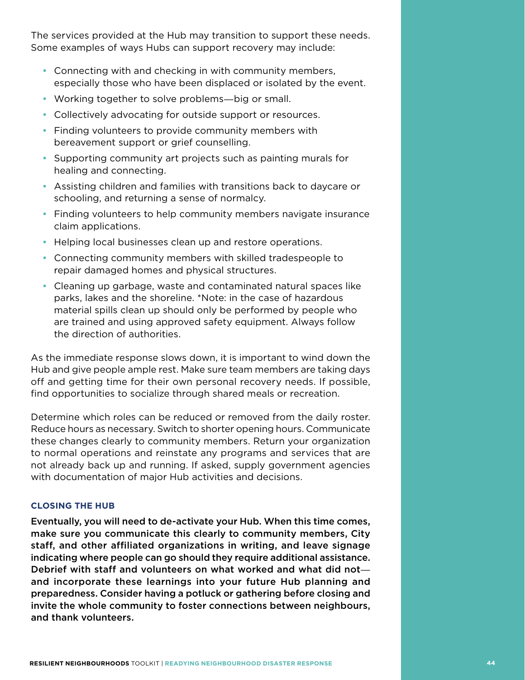The services provided at the Hub may transition to support these needs. Some examples of ways Hubs can support recovery may include:

- Connecting with and checking in with community members, especially those who have been displaced or isolated by the event.
- Working together to solve problems—big or small.
- Collectively advocating for outside support or resources.
- Finding volunteers to provide community members with bereavement support or grief counselling.
- Supporting community art projects such as painting murals for healing and connecting.
- Assisting children and families with transitions back to daycare or schooling, and returning a sense of normalcy.
- Finding volunteers to help community members navigate insurance claim applications.
- Helping local businesses clean up and restore operations.
- Connecting community members with skilled tradespeople to repair damaged homes and physical structures.
- Cleaning up garbage, waste and contaminated natural spaces like parks, lakes and the shoreline. \*Note: in the case of hazardous material spills clean up should only be performed by people who are trained and using approved safety equipment. Always follow the direction of authorities.

As the immediate response slows down, it is important to wind down the Hub and give people ample rest. Make sure team members are taking days off and getting time for their own personal recovery needs. If possible, find opportunities to socialize through shared meals or recreation.

Determine which roles can be reduced or removed from the daily roster. Reduce hours as necessary. Switch to shorter opening hours. Communicate these changes clearly to community members. Return your organization to normal operations and reinstate any programs and services that are not already back up and running. If asked, supply government agencies with documentation of major Hub activities and decisions.

#### **CLOSING THE HUB**

Eventually, you will need to de-activate your Hub. When this time comes, make sure you communicate this clearly to community members, City staff, and other affiliated organizations in writing, and leave signage indicating where people can go should they require additional assistance. Debrief with staff and volunteers on what worked and what did not― and incorporate these learnings into your future Hub planning and preparedness. Consider having a potluck or gathering before closing and invite the whole community to foster connections between neighbours, and thank volunteers.